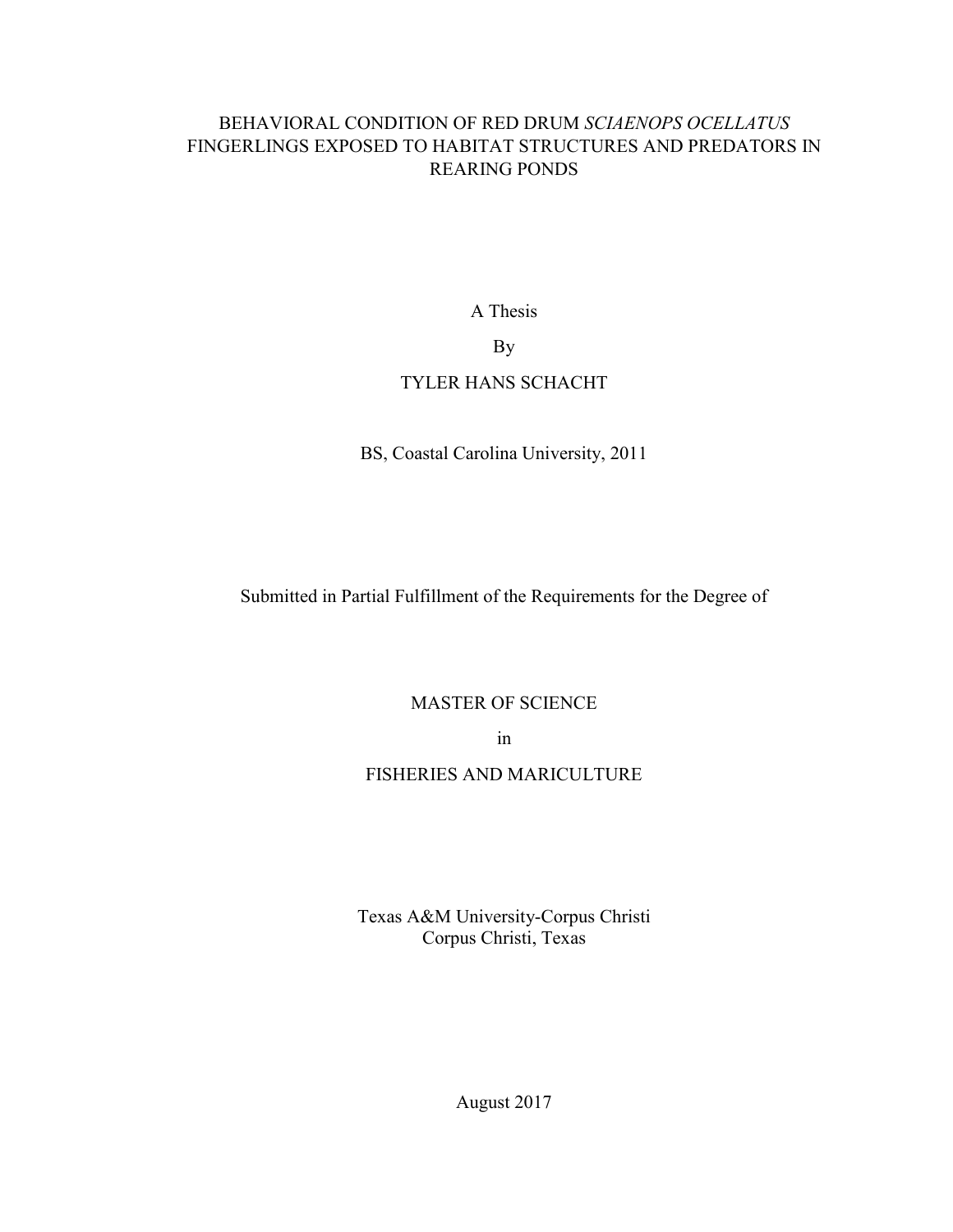# BEHAVIORAL CONDITION OF RED DRUM *SCIAENOPS OCELLATUS* FINGERLINGS EXPOSED TO HABITAT STRUCTURES AND PREDATORS IN REARING PONDS

A Thesis

By

# TYLER HANS SCHACHT

BS, Coastal Carolina University, 2011

Submitted in Partial Fulfillment of the Requirements for the Degree of

MASTER OF SCIENCE

in

# FISHERIES AND MARICULTURE

Texas A&M University-Corpus Christi Corpus Christi, Texas

August 2017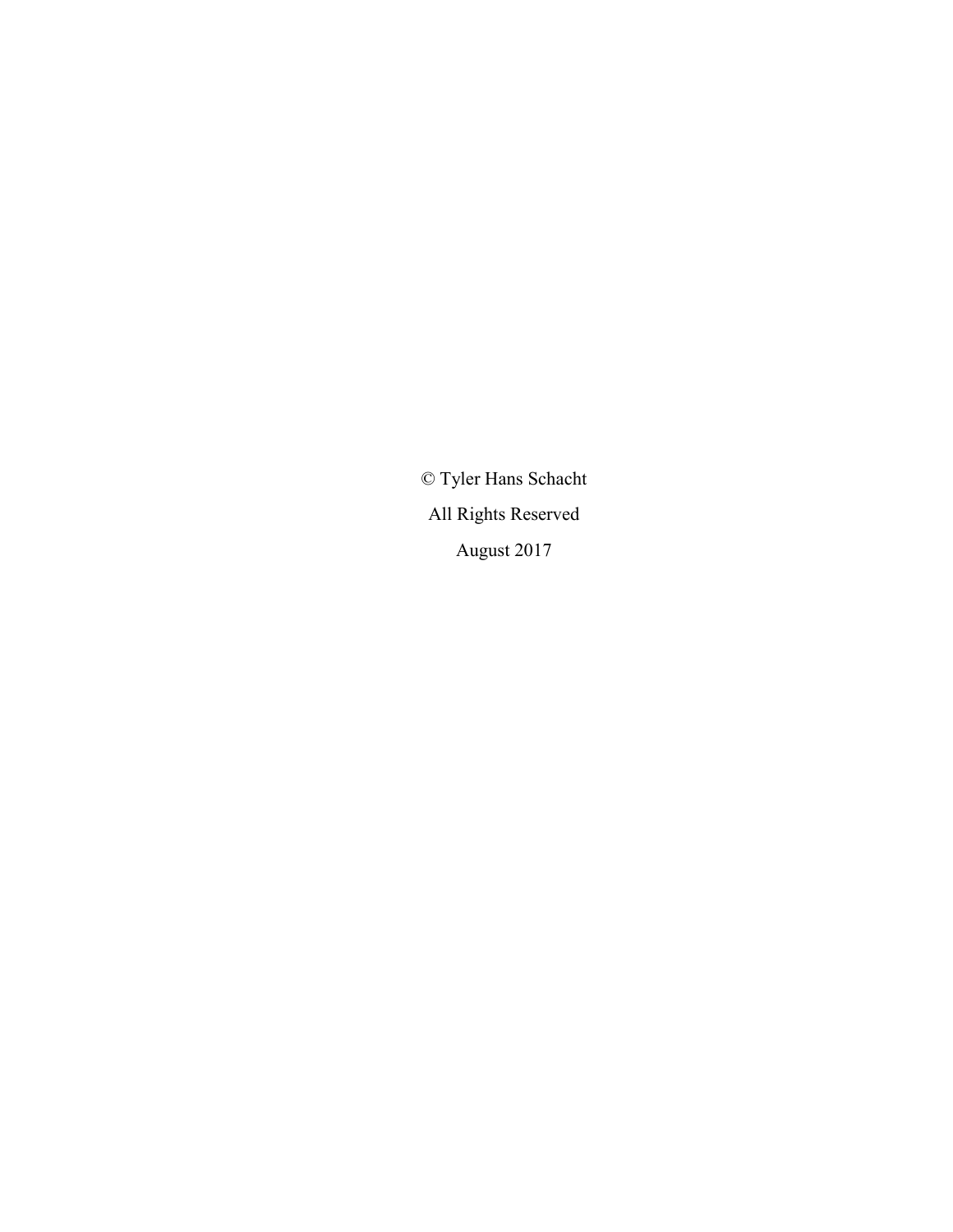© Tyler Hans Schacht All Rights Reserved August 2017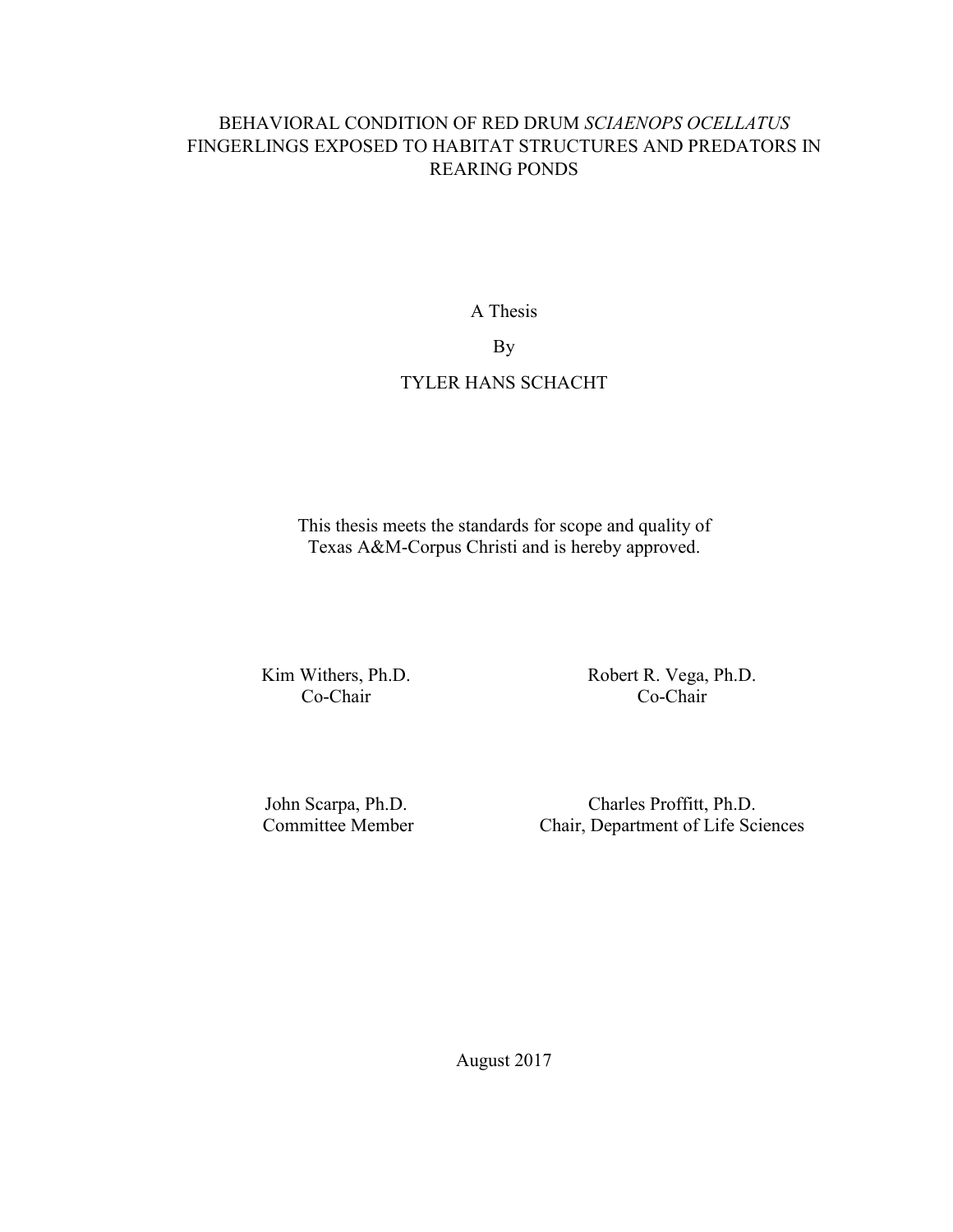# BEHAVIORAL CONDITION OF RED DRUM *SCIAENOPS OCELLATUS* FINGERLINGS EXPOSED TO HABITAT STRUCTURES AND PREDATORS IN REARING PONDS

A Thesis

By

# TYLER HANS SCHACHT

This thesis meets the standards for scope and quality of Texas A&M-Corpus Christi and is hereby approved.

Kim Withers, Ph.D. Co-Chair

Robert R. Vega, Ph.D. Co-Chair

John Scarpa, Ph.D. Committee Member

Charles Proffitt, Ph.D. Chair, Department of Life Sciences

August 2017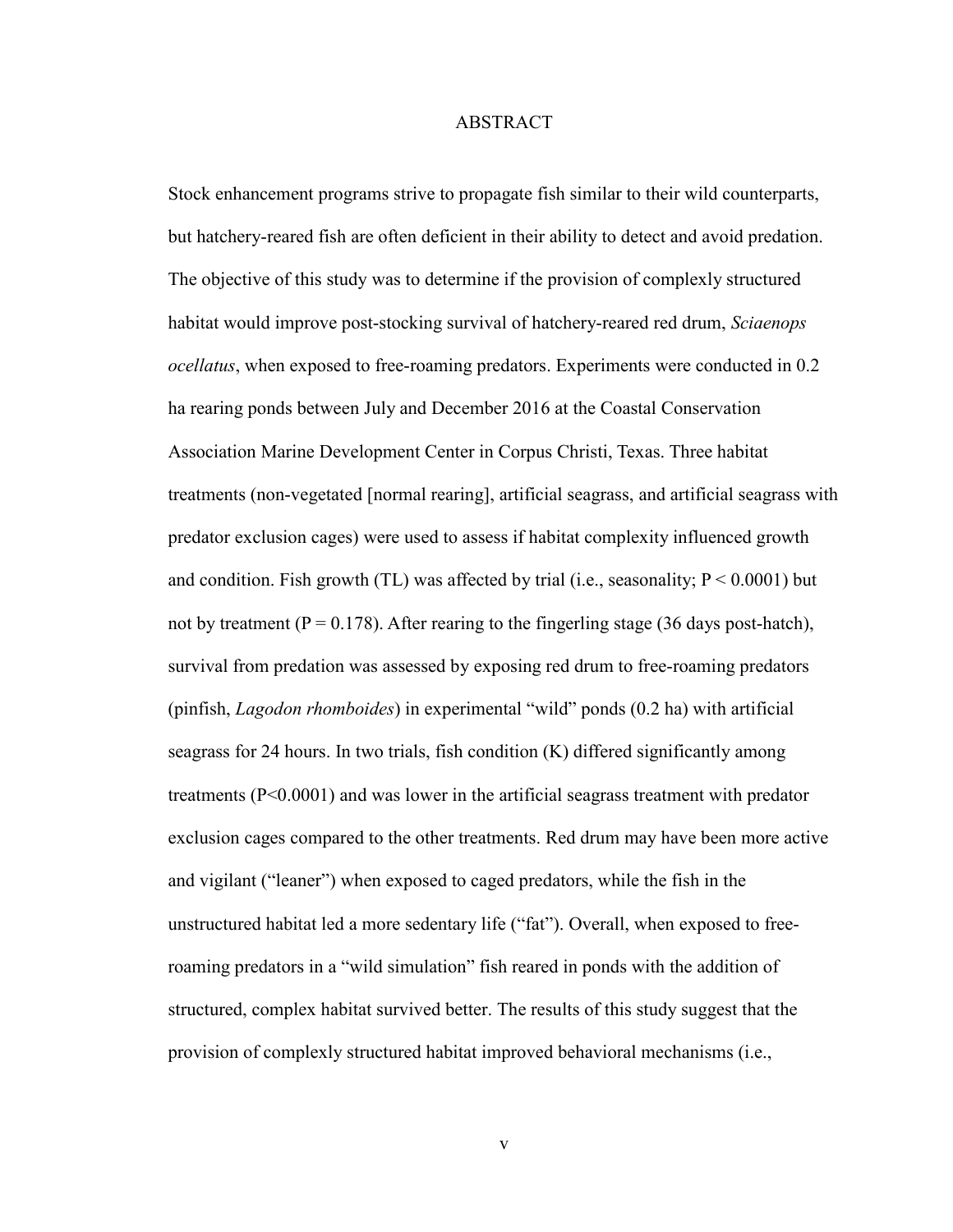#### ABSTRACT

Stock enhancement programs strive to propagate fish similar to their wild counterparts, but hatchery-reared fish are often deficient in their ability to detect and avoid predation. The objective of this study was to determine if the provision of complexly structured habitat would improve post-stocking survival of hatchery-reared red drum, *Sciaenops ocellatus*, when exposed to free-roaming predators. Experiments were conducted in 0.2 ha rearing ponds between July and December 2016 at the Coastal Conservation Association Marine Development Center in Corpus Christi, Texas. Three habitat treatments (non-vegetated [normal rearing], artificial seagrass, and artificial seagrass with predator exclusion cages) were used to assess if habitat complexity influenced growth and condition. Fish growth (TL) was affected by trial (i.e., seasonality;  $P \le 0.0001$ ) but not by treatment ( $P = 0.178$ ). After rearing to the fingerling stage (36 days post-hatch), survival from predation was assessed by exposing red drum to free-roaming predators (pinfish, *Lagodon rhomboides*) in experimental "wild" ponds (0.2 ha) with artificial seagrass for 24 hours. In two trials, fish condition (K) differed significantly among treatments (P<0.0001) and was lower in the artificial seagrass treatment with predator exclusion cages compared to the other treatments. Red drum may have been more active and vigilant ("leaner") when exposed to caged predators, while the fish in the unstructured habitat led a more sedentary life ("fat"). Overall, when exposed to freeroaming predators in a "wild simulation" fish reared in ponds with the addition of structured, complex habitat survived better. The results of this study suggest that the provision of complexly structured habitat improved behavioral mechanisms (i.e.,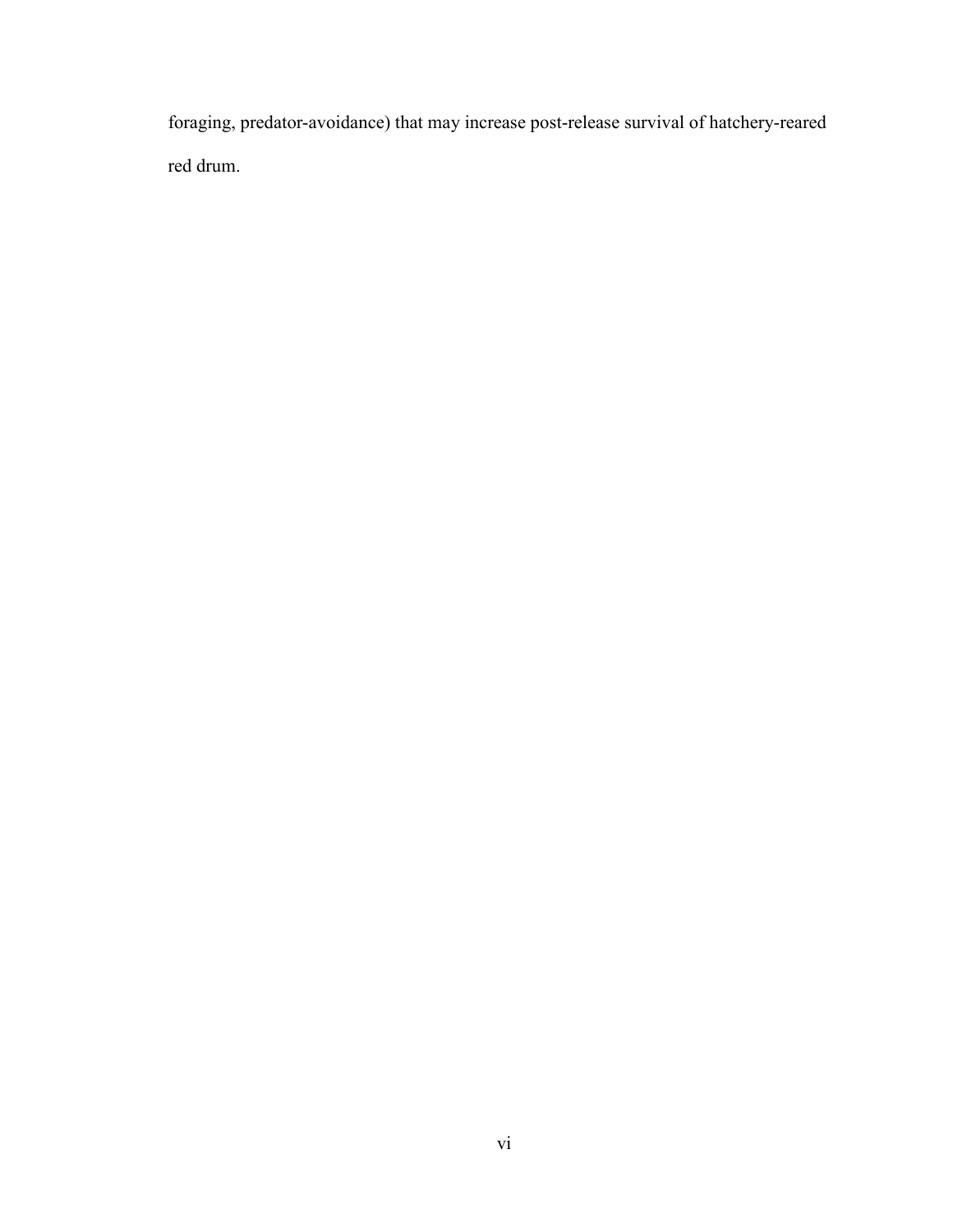foraging, predator-avoidance) that may increase post-release survival of hatchery-reared red drum.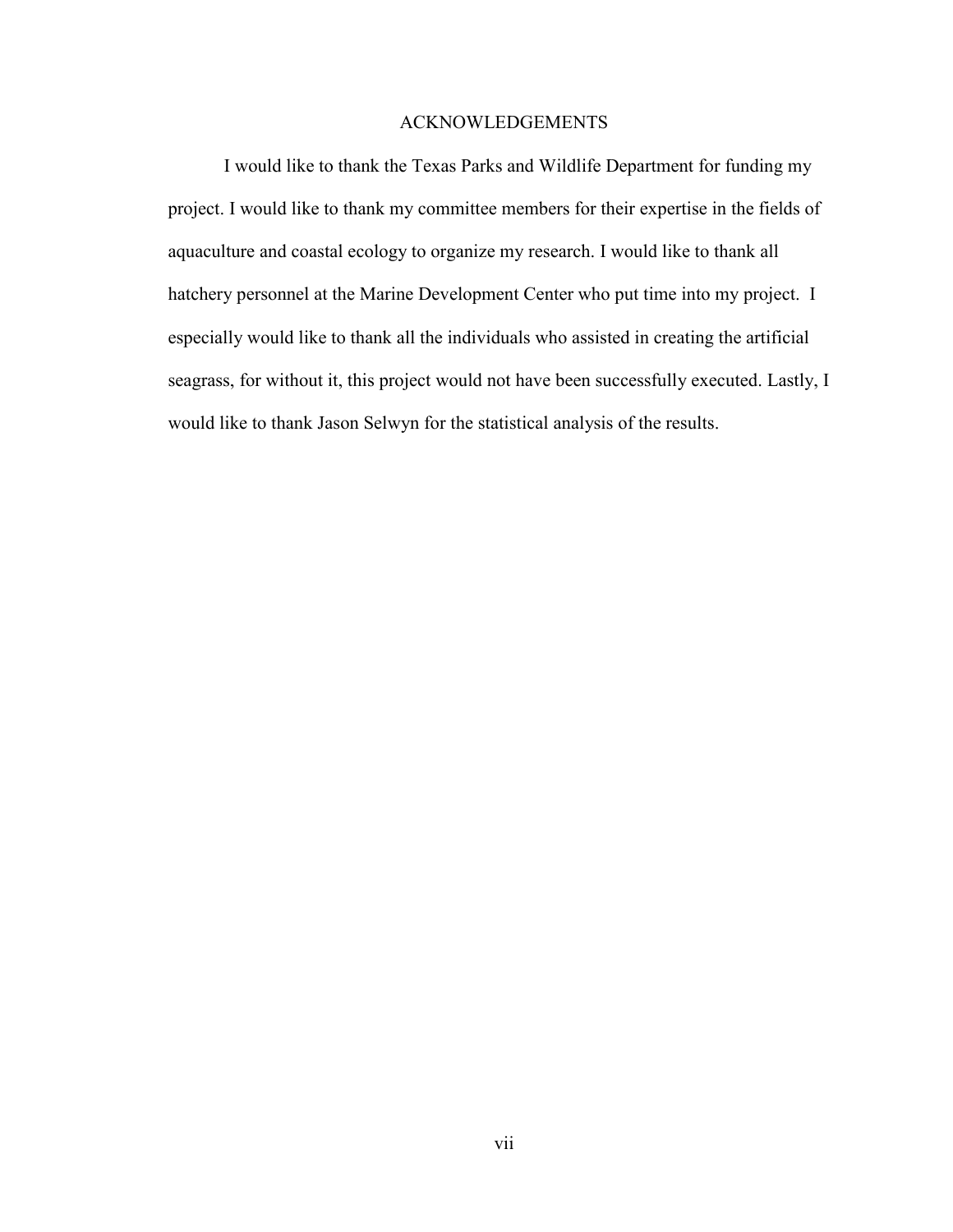### ACKNOWLEDGEMENTS

I would like to thank the Texas Parks and Wildlife Department for funding my project. I would like to thank my committee members for their expertise in the fields of aquaculture and coastal ecology to organize my research. I would like to thank all hatchery personnel at the Marine Development Center who put time into my project. I especially would like to thank all the individuals who assisted in creating the artificial seagrass, for without it, this project would not have been successfully executed. Lastly, I would like to thank Jason Selwyn for the statistical analysis of the results.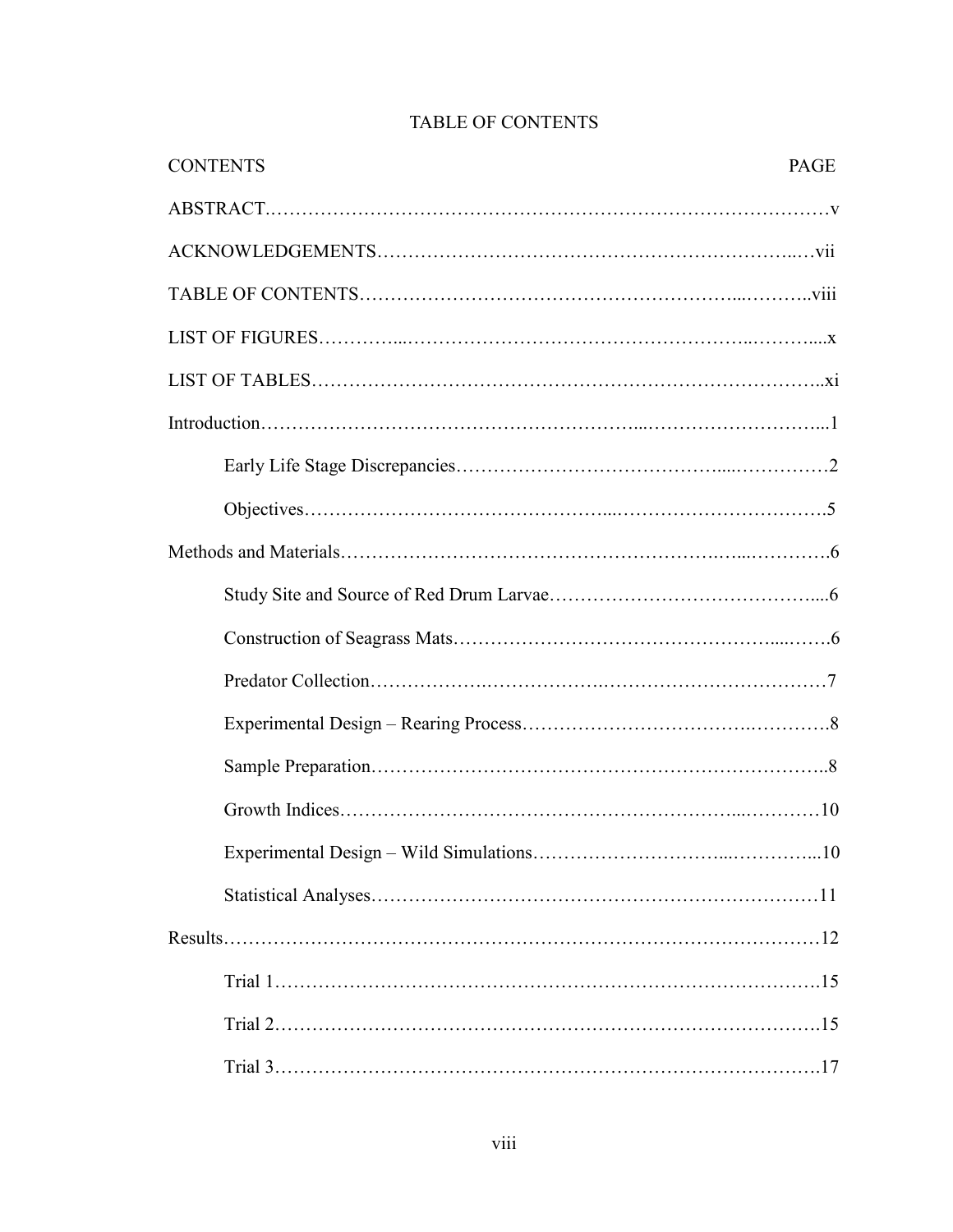| <b>CONTENTS</b> | PAGE |
|-----------------|------|
|                 |      |
|                 |      |
|                 |      |
|                 |      |
|                 |      |
|                 |      |
|                 |      |
|                 |      |
|                 |      |
|                 |      |
|                 |      |
|                 |      |
|                 |      |
|                 |      |
|                 |      |
|                 |      |
|                 |      |
|                 |      |
|                 |      |
|                 |      |
|                 |      |

# TABLE OF CONTENTS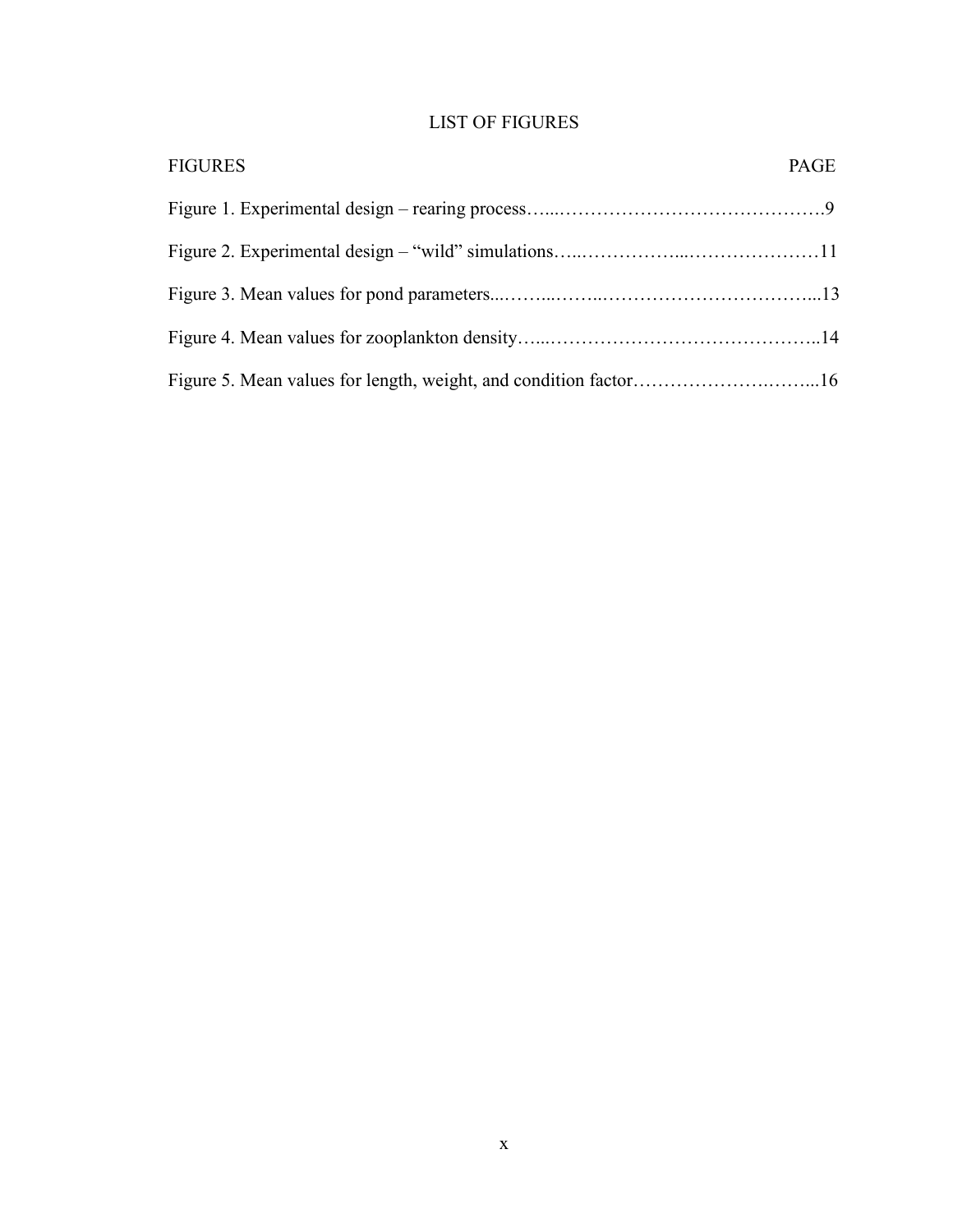# LIST OF FIGURES

| <b>FIGURES</b> | PAGE |
|----------------|------|
|                |      |
|                |      |
|                |      |
|                |      |
|                |      |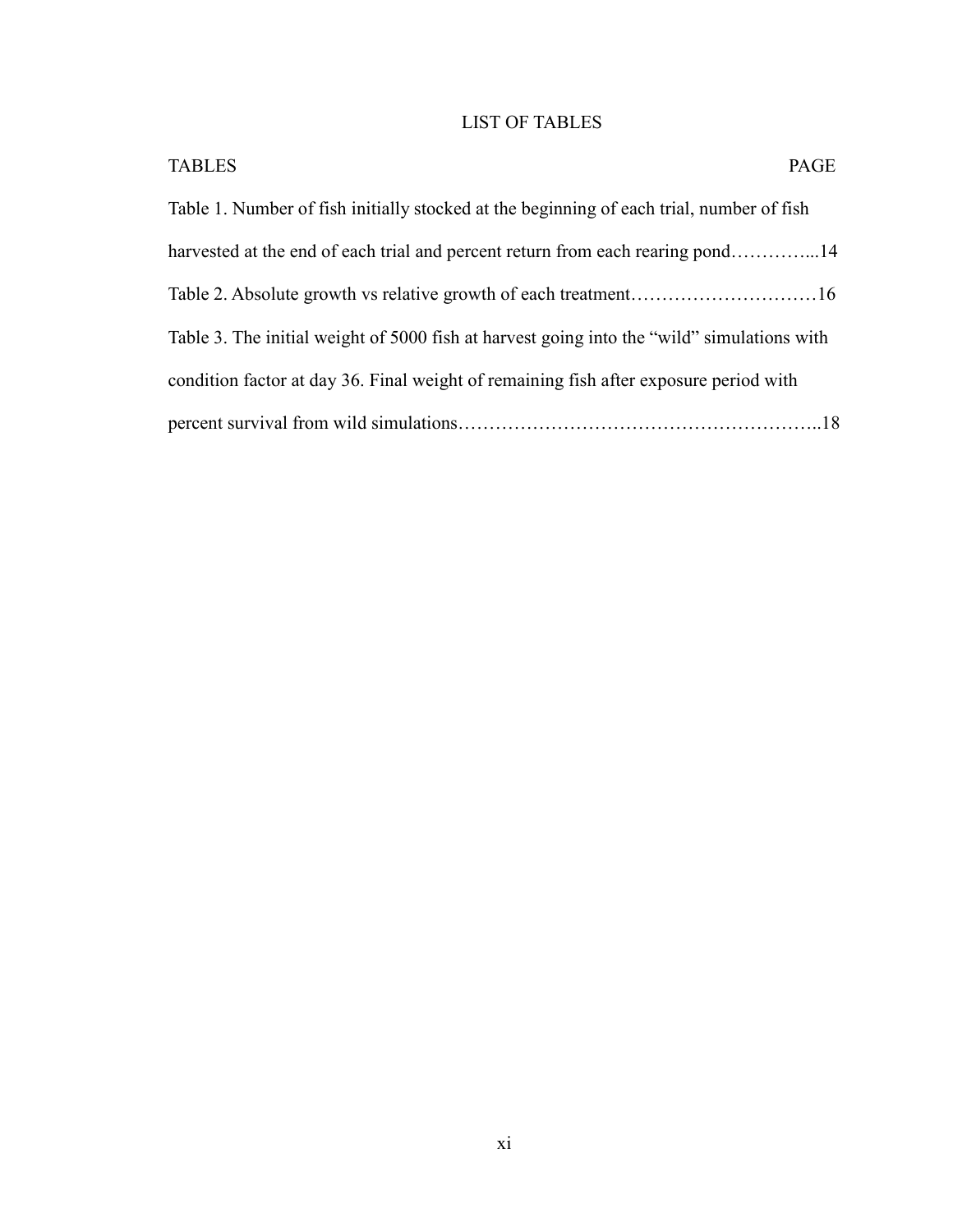# LIST OF TABLES

| <b>TABLES</b><br>PAGE                                                                      |  |
|--------------------------------------------------------------------------------------------|--|
| Table 1. Number of fish initially stocked at the beginning of each trial, number of fish   |  |
| harvested at the end of each trial and percent return from each rearing pond14             |  |
|                                                                                            |  |
| Table 3. The initial weight of 5000 fish at harvest going into the "wild" simulations with |  |
| condition factor at day 36. Final weight of remaining fish after exposure period with      |  |
|                                                                                            |  |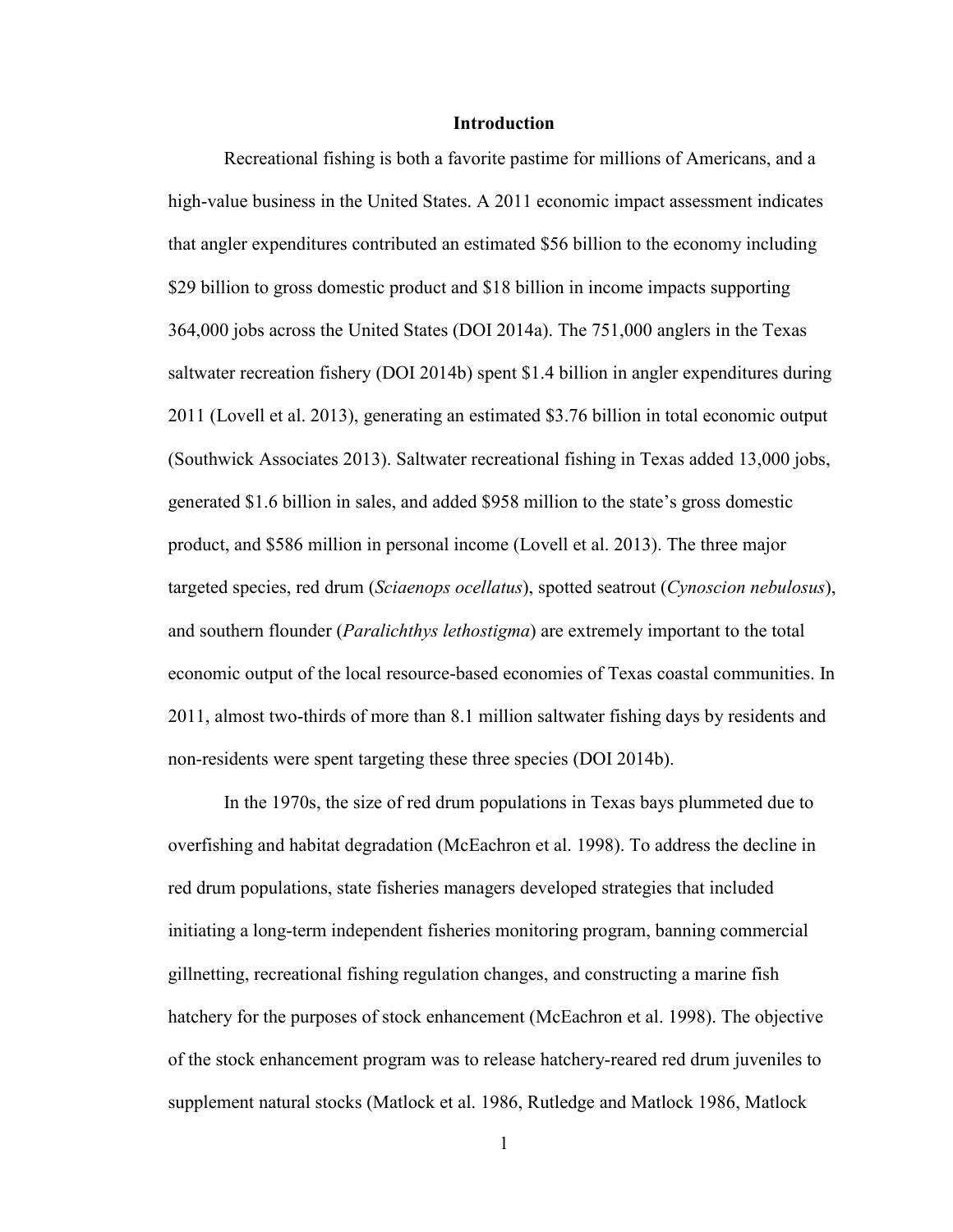#### **Introduction**

Recreational fishing is both a favorite pastime for millions of Americans, and a high-value business in the United States. A 2011 economic impact assessment indicates that angler expenditures contributed an estimated \$56 billion to the economy including \$29 billion to gross domestic product and \$18 billion in income impacts supporting 364,000 jobs across the United States (DOI 2014a). The 751,000 anglers in the Texas saltwater recreation fishery (DOI 2014b) spent \$1.4 billion in angler expenditures during 2011 (Lovell et al. 2013), generating an estimated \$3.76 billion in total economic output (Southwick Associates 2013). Saltwater recreational fishing in Texas added 13,000 jobs, generated \$1.6 billion in sales, and added \$958 million to the state's gross domestic product, and \$586 million in personal income (Lovell et al. 2013). The three major targeted species, red drum (*Sciaenops ocellatus*), spotted seatrout (*Cynoscion nebulosus*), and southern flounder (*Paralichthys lethostigma*) are extremely important to the total economic output of the local resource-based economies of Texas coastal communities. In 2011, almost two-thirds of more than 8.1 million saltwater fishing days by residents and non-residents were spent targeting these three species (DOI 2014b).

 In the 1970s, the size of red drum populations in Texas bays plummeted due to overfishing and habitat degradation (McEachron et al. 1998). To address the decline in red drum populations, state fisheries managers developed strategies that included initiating a long-term independent fisheries monitoring program, banning commercial gillnetting, recreational fishing regulation changes, and constructing a marine fish hatchery for the purposes of stock enhancement (McEachron et al. 1998). The objective of the stock enhancement program was to release hatchery-reared red drum juveniles to supplement natural stocks (Matlock et al. 1986, Rutledge and Matlock 1986, Matlock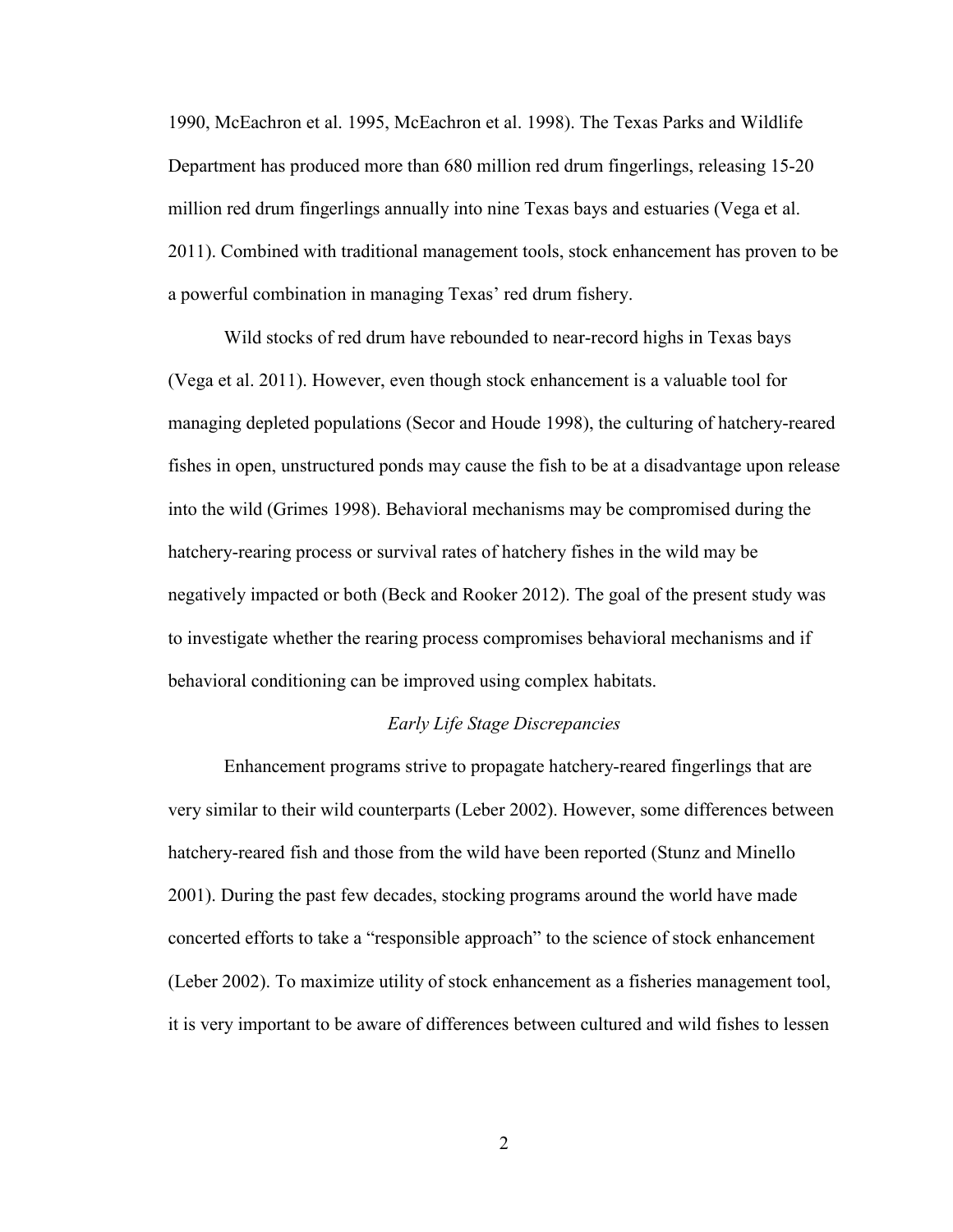1990, McEachron et al. 1995, McEachron et al. 1998). The Texas Parks and Wildlife Department has produced more than 680 million red drum fingerlings, releasing 15-20 million red drum fingerlings annually into nine Texas bays and estuaries (Vega et al. 2011). Combined with traditional management tools, stock enhancement has proven to be a powerful combination in managing Texas' red drum fishery.

Wild stocks of red drum have rebounded to near-record highs in Texas bays (Vega et al. 2011). However, even though stock enhancement is a valuable tool for managing depleted populations (Secor and Houde 1998), the culturing of hatchery-reared fishes in open, unstructured ponds may cause the fish to be at a disadvantage upon release into the wild (Grimes 1998). Behavioral mechanisms may be compromised during the hatchery-rearing process or survival rates of hatchery fishes in the wild may be negatively impacted or both (Beck and Rooker 2012). The goal of the present study was to investigate whether the rearing process compromises behavioral mechanisms and if behavioral conditioning can be improved using complex habitats.

### *Early Life Stage Discrepancies*

 Enhancement programs strive to propagate hatchery-reared fingerlings that are very similar to their wild counterparts (Leber 2002). However, some differences between hatchery-reared fish and those from the wild have been reported (Stunz and Minello 2001). During the past few decades, stocking programs around the world have made concerted efforts to take a "responsible approach" to the science of stock enhancement (Leber 2002). To maximize utility of stock enhancement as a fisheries management tool, it is very important to be aware of differences between cultured and wild fishes to lessen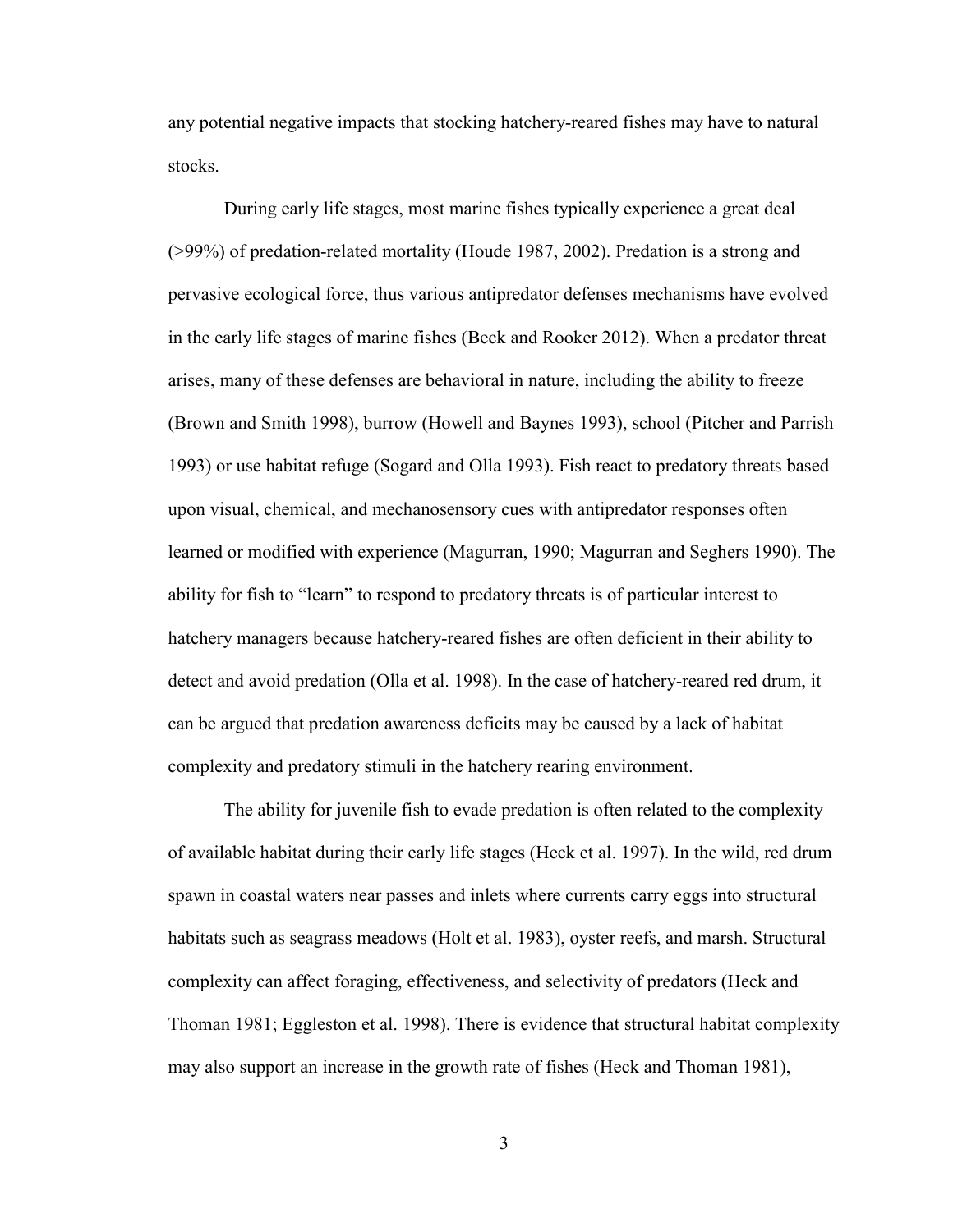any potential negative impacts that stocking hatchery-reared fishes may have to natural stocks.

 During early life stages, most marine fishes typically experience a great deal (>99%) of predation-related mortality (Houde 1987, 2002). Predation is a strong and pervasive ecological force, thus various antipredator defenses mechanisms have evolved in the early life stages of marine fishes (Beck and Rooker 2012). When a predator threat arises, many of these defenses are behavioral in nature, including the ability to freeze (Brown and Smith 1998), burrow (Howell and Baynes 1993), school (Pitcher and Parrish 1993) or use habitat refuge (Sogard and Olla 1993). Fish react to predatory threats based upon visual, chemical, and mechanosensory cues with antipredator responses often learned or modified with experience (Magurran, 1990; Magurran and Seghers 1990). The ability for fish to "learn" to respond to predatory threats is of particular interest to hatchery managers because hatchery-reared fishes are often deficient in their ability to detect and avoid predation (Olla et al. 1998). In the case of hatchery-reared red drum, it can be argued that predation awareness deficits may be caused by a lack of habitat complexity and predatory stimuli in the hatchery rearing environment.

 The ability for juvenile fish to evade predation is often related to the complexity of available habitat during their early life stages (Heck et al. 1997). In the wild, red drum spawn in coastal waters near passes and inlets where currents carry eggs into structural habitats such as seagrass meadows (Holt et al. 1983), oyster reefs, and marsh. Structural complexity can affect foraging, effectiveness, and selectivity of predators (Heck and Thoman 1981; Eggleston et al. 1998). There is evidence that structural habitat complexity may also support an increase in the growth rate of fishes (Heck and Thoman 1981),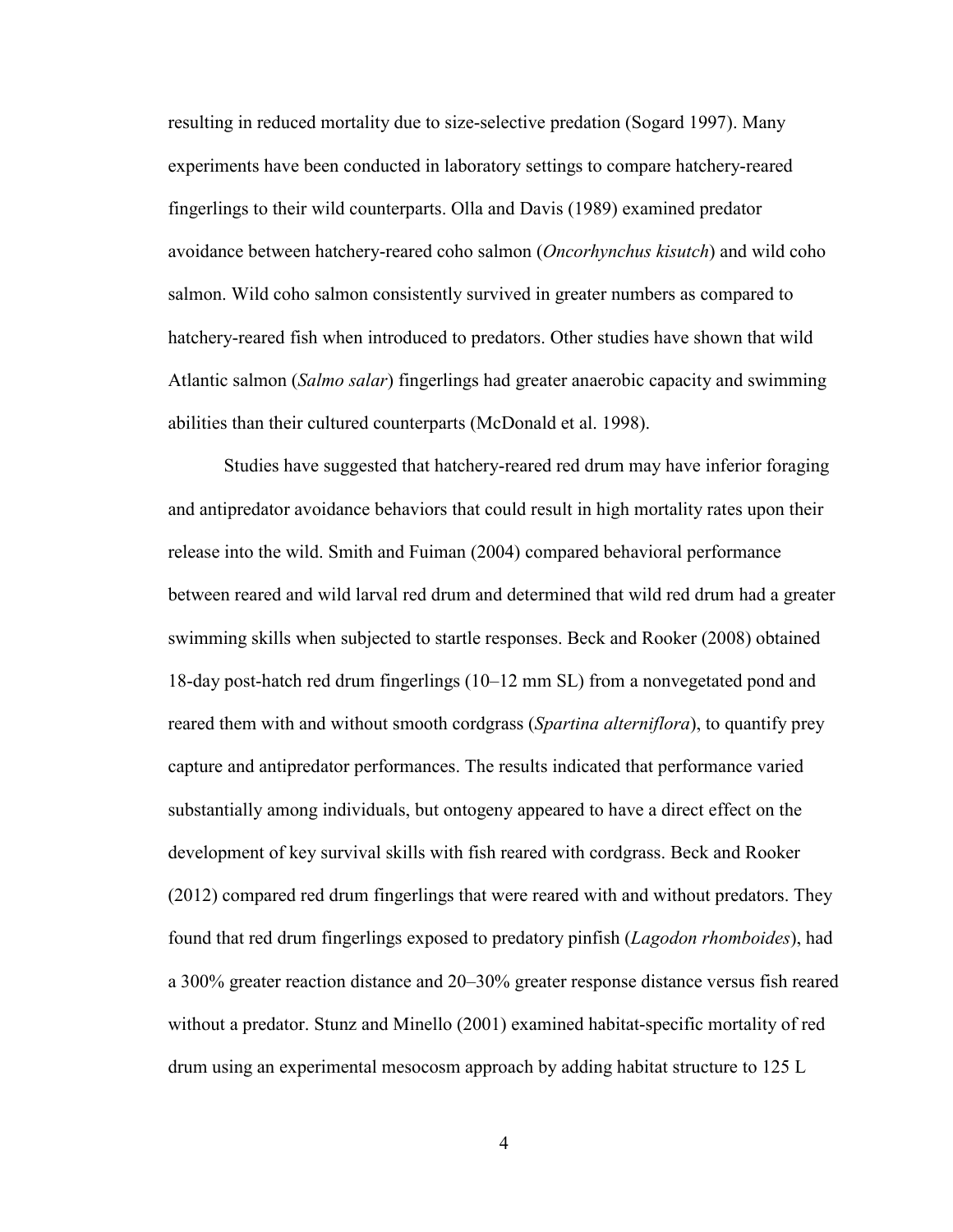resulting in reduced mortality due to size-selective predation (Sogard 1997). Many experiments have been conducted in laboratory settings to compare hatchery-reared fingerlings to their wild counterparts. Olla and Davis (1989) examined predator avoidance between hatchery-reared coho salmon (*Oncorhynchus kisutch*) and wild coho salmon. Wild coho salmon consistently survived in greater numbers as compared to hatchery-reared fish when introduced to predators. Other studies have shown that wild Atlantic salmon (*Salmo salar*) fingerlings had greater anaerobic capacity and swimming abilities than their cultured counterparts (McDonald et al. 1998).

Studies have suggested that hatchery-reared red drum may have inferior foraging and antipredator avoidance behaviors that could result in high mortality rates upon their release into the wild. Smith and Fuiman (2004) compared behavioral performance between reared and wild larval red drum and determined that wild red drum had a greater swimming skills when subjected to startle responses. Beck and Rooker (2008) obtained 18-day post-hatch red drum fingerlings (10–12 mm SL) from a nonvegetated pond and reared them with and without smooth cordgrass (*Spartina alterniflora*), to quantify prey capture and antipredator performances. The results indicated that performance varied substantially among individuals, but ontogeny appeared to have a direct effect on the development of key survival skills with fish reared with cordgrass. Beck and Rooker (2012) compared red drum fingerlings that were reared with and without predators. They found that red drum fingerlings exposed to predatory pinfish (*Lagodon rhomboides*), had a 300% greater reaction distance and 20–30% greater response distance versus fish reared without a predator. Stunz and Minello (2001) examined habitat-specific mortality of red drum using an experimental mesocosm approach by adding habitat structure to 125 L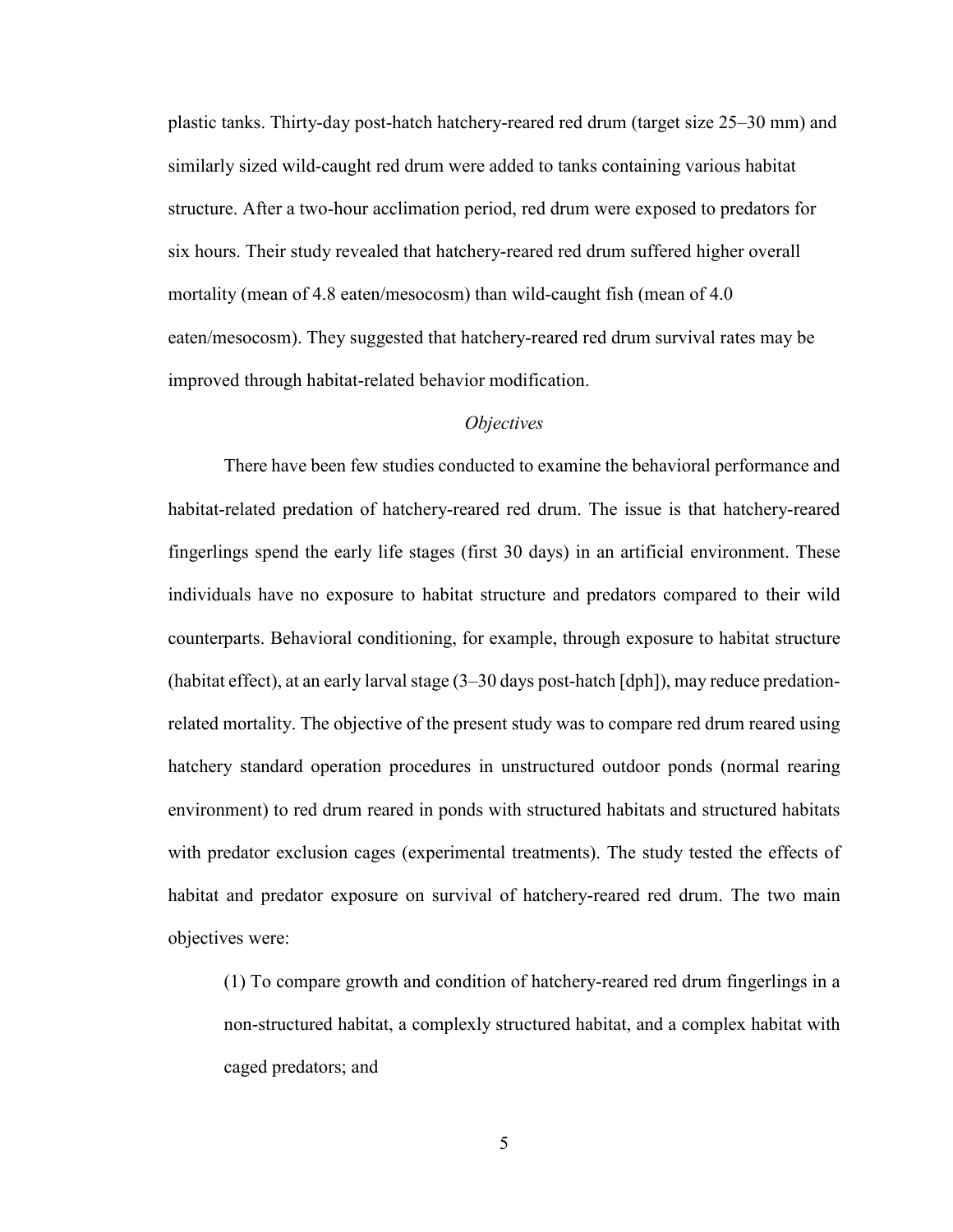plastic tanks. Thirty-day post-hatch hatchery-reared red drum (target size 25–30 mm) and similarly sized wild-caught red drum were added to tanks containing various habitat structure. After a two-hour acclimation period, red drum were exposed to predators for six hours. Their study revealed that hatchery-reared red drum suffered higher overall mortality (mean of 4.8 eaten/mesocosm) than wild-caught fish (mean of 4.0 eaten/mesocosm). They suggested that hatchery-reared red drum survival rates may be improved through habitat-related behavior modification.

#### *Objectives*

 There have been few studies conducted to examine the behavioral performance and habitat-related predation of hatchery-reared red drum. The issue is that hatchery-reared fingerlings spend the early life stages (first 30 days) in an artificial environment. These individuals have no exposure to habitat structure and predators compared to their wild counterparts. Behavioral conditioning, for example, through exposure to habitat structure (habitat effect), at an early larval stage (3–30 days post-hatch [dph]), may reduce predationrelated mortality. The objective of the present study was to compare red drum reared using hatchery standard operation procedures in unstructured outdoor ponds (normal rearing environment) to red drum reared in ponds with structured habitats and structured habitats with predator exclusion cages (experimental treatments). The study tested the effects of habitat and predator exposure on survival of hatchery-reared red drum. The two main objectives were:

(1) To compare growth and condition of hatchery-reared red drum fingerlings in a non-structured habitat, a complexly structured habitat, and a complex habitat with caged predators; and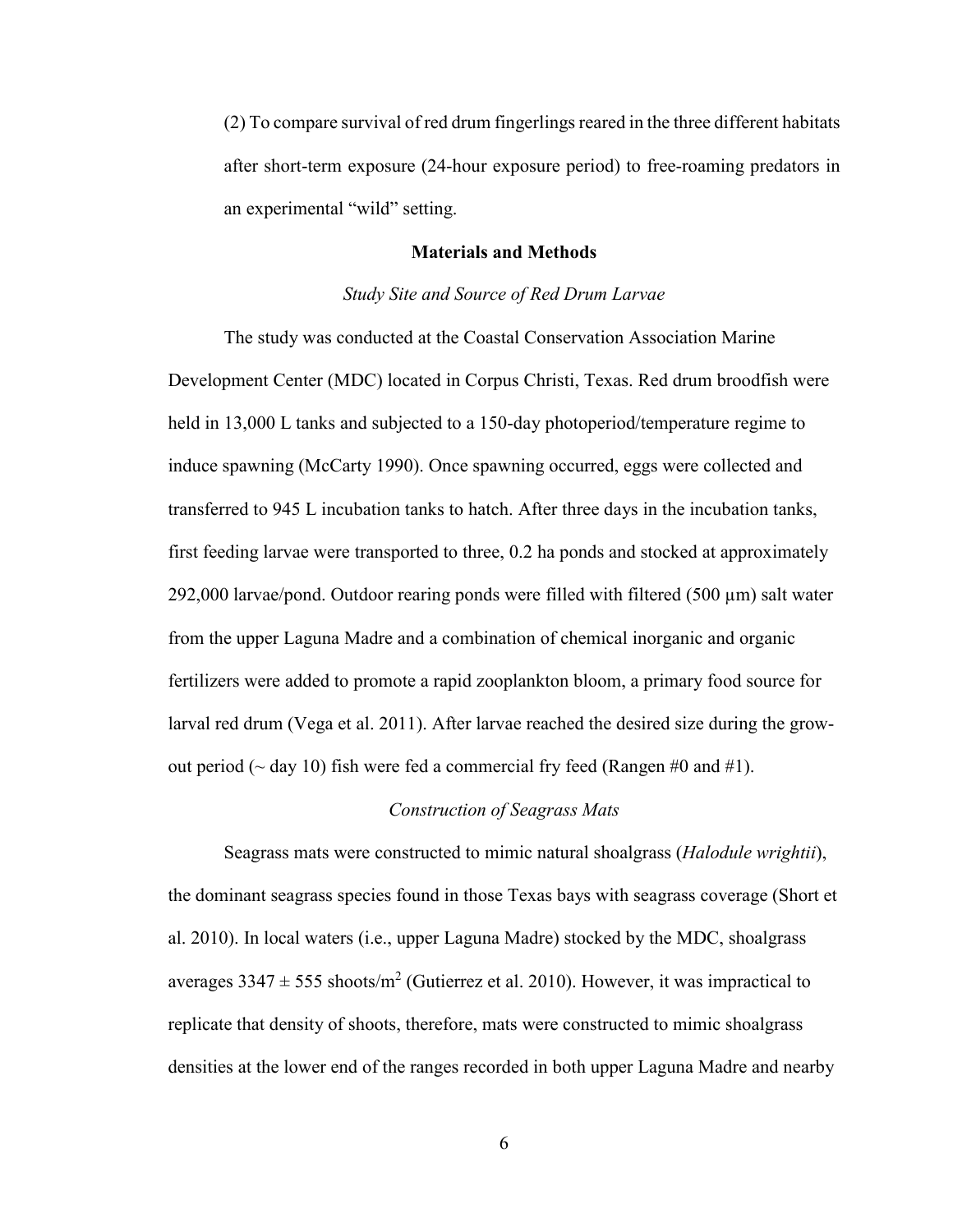(2) To compare survival of red drum fingerlings reared in the three different habitats after short-term exposure (24-hour exposure period) to free-roaming predators in an experimental "wild" setting.

### **Materials and Methods**

#### *Study Site and Source of Red Drum Larvae*

 The study was conducted at the Coastal Conservation Association Marine Development Center (MDC) located in Corpus Christi, Texas. Red drum broodfish were held in 13,000 L tanks and subjected to a 150-day photoperiod/temperature regime to induce spawning (McCarty 1990). Once spawning occurred, eggs were collected and transferred to 945 L incubation tanks to hatch. After three days in the incubation tanks, first feeding larvae were transported to three, 0.2 ha ponds and stocked at approximately 292,000 larvae/pond. Outdoor rearing ponds were filled with filtered (500  $\mu$ m) salt water from the upper Laguna Madre and a combination of chemical inorganic and organic fertilizers were added to promote a rapid zooplankton bloom, a primary food source for larval red drum (Vega et al. 2011). After larvae reached the desired size during the growout period ( $\sim$  day 10) fish were fed a commercial fry feed (Rangen #0 and #1).

#### *Construction of Seagrass Mats*

 Seagrass mats were constructed to mimic natural shoalgrass (*Halodule wrightii*), the dominant seagrass species found in those Texas bays with seagrass coverage (Short et al. 2010). In local waters (i.e., upper Laguna Madre) stocked by the MDC, shoalgrass averages  $3347 \pm 555$  shoots/m<sup>2</sup> (Gutierrez et al. 2010). However, it was impractical to replicate that density of shoots, therefore, mats were constructed to mimic shoalgrass densities at the lower end of the ranges recorded in both upper Laguna Madre and nearby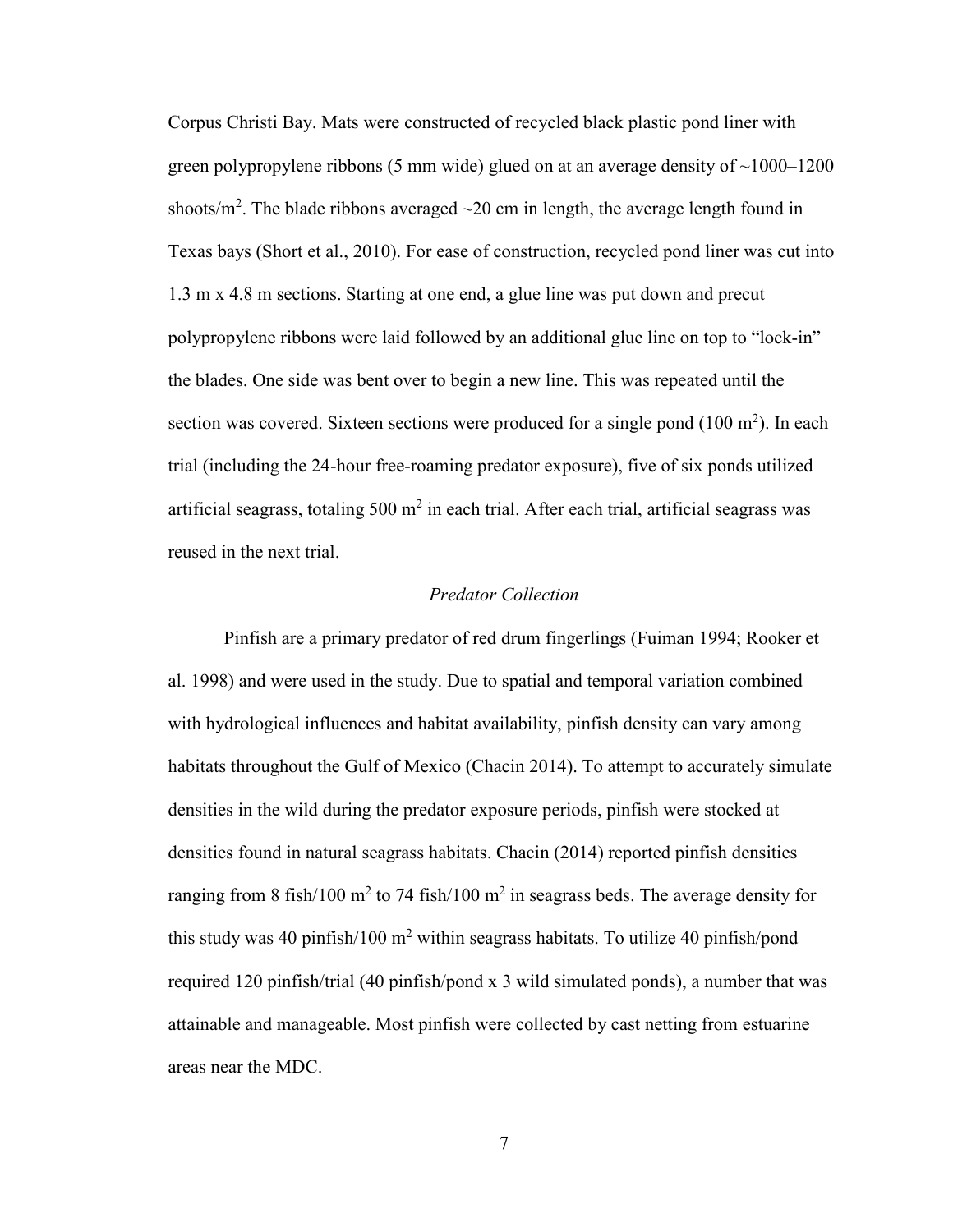Corpus Christi Bay. Mats were constructed of recycled black plastic pond liner with green polypropylene ribbons (5 mm wide) glued on at an average density of  $\sim$ 1000–1200 shoots/ $m^2$ . The blade ribbons averaged  $\sim$ 20 cm in length, the average length found in Texas bays (Short et al., 2010). For ease of construction, recycled pond liner was cut into 1.3 m x 4.8 m sections. Starting at one end, a glue line was put down and precut polypropylene ribbons were laid followed by an additional glue line on top to "lock-in" the blades. One side was bent over to begin a new line. This was repeated until the section was covered. Sixteen sections were produced for a single pond  $(100 \text{ m}^2)$ . In each trial (including the 24-hour free-roaming predator exposure), five of six ponds utilized artificial seagrass, totaling 500  $m^2$  in each trial. After each trial, artificial seagrass was reused in the next trial.

### *Predator Collection*

Pinfish are a primary predator of red drum fingerlings (Fuiman 1994; Rooker et al. 1998) and were used in the study. Due to spatial and temporal variation combined with hydrological influences and habitat availability, pinfish density can vary among habitats throughout the Gulf of Mexico (Chacin 2014). To attempt to accurately simulate densities in the wild during the predator exposure periods, pinfish were stocked at densities found in natural seagrass habitats. Chacin (2014) reported pinfish densities ranging from 8 fish/100 m<sup>2</sup> to 74 fish/100 m<sup>2</sup> in seagrass beds. The average density for this study was 40 pinfish/100  $m^2$  within seagrass habitats. To utilize 40 pinfish/pond required 120 pinfish/trial (40 pinfish/pond x 3 wild simulated ponds), a number that was attainable and manageable. Most pinfish were collected by cast netting from estuarine areas near the MDC.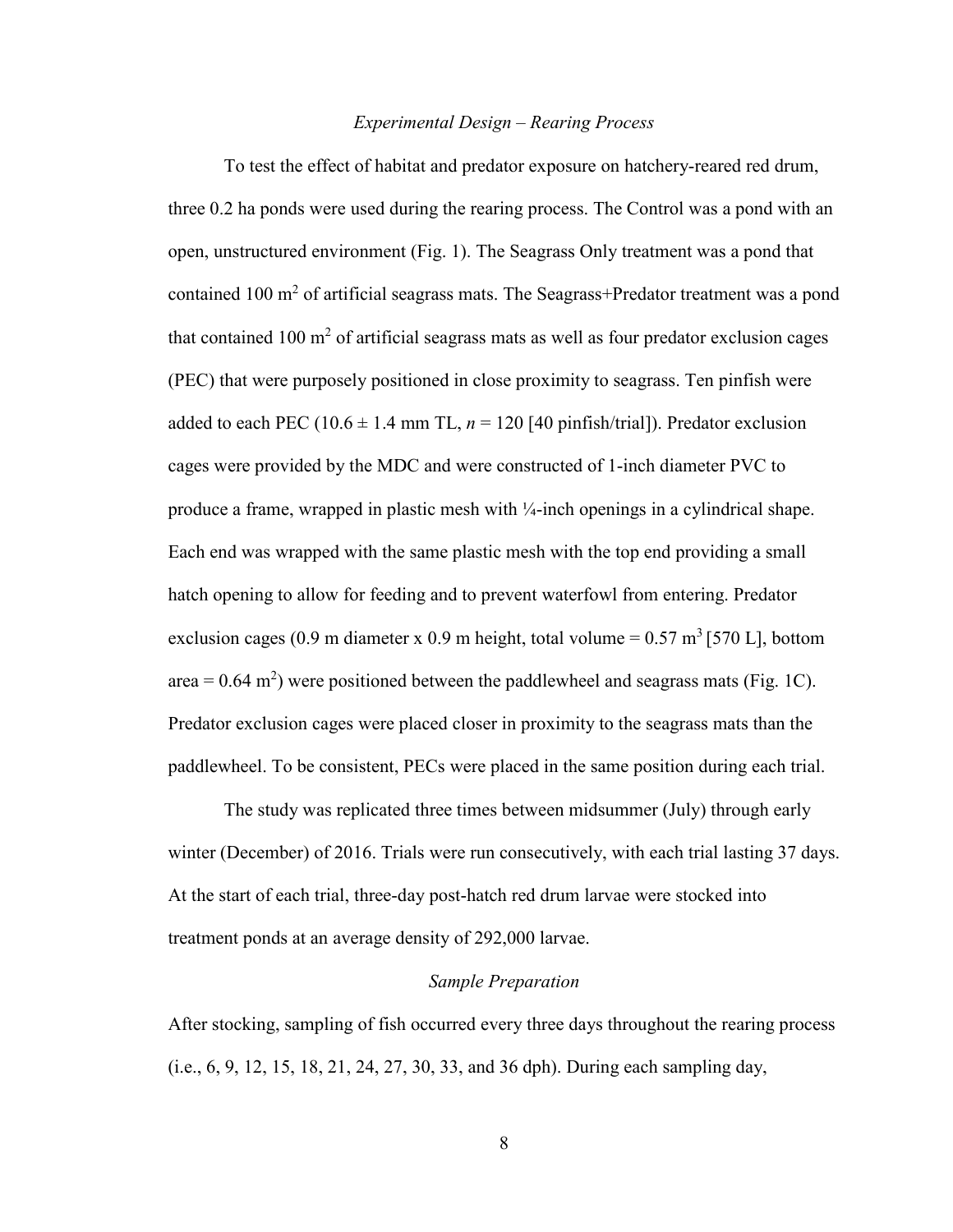### *Experimental Design – Rearing Process*

 To test the effect of habitat and predator exposure on hatchery-reared red drum, three 0.2 ha ponds were used during the rearing process. The Control was a pond with an open, unstructured environment (Fig. 1). The Seagrass Only treatment was a pond that contained 100 m<sup>2</sup> of artificial seagrass mats. The Seagrass+Predator treatment was a pond that contained  $100 \text{ m}^2$  of artificial seagrass mats as well as four predator exclusion cages (PEC) that were purposely positioned in close proximity to seagrass. Ten pinfish were added to each PEC (10.6  $\pm$  1.4 mm TL,  $n = 120$  [40 pinfish/trial]). Predator exclusion cages were provided by the MDC and were constructed of 1-inch diameter PVC to produce a frame, wrapped in plastic mesh with ¼-inch openings in a cylindrical shape. Each end was wrapped with the same plastic mesh with the top end providing a small hatch opening to allow for feeding and to prevent waterfowl from entering. Predator exclusion cages (0.9 m diameter x 0.9 m height, total volume =  $0.57 \text{ m}^3$  [570 L], bottom area =  $0.64$  m<sup>2</sup>) were positioned between the paddlewheel and seagrass mats (Fig. 1C). Predator exclusion cages were placed closer in proximity to the seagrass mats than the paddlewheel. To be consistent, PECs were placed in the same position during each trial.

The study was replicated three times between midsummer (July) through early winter (December) of 2016. Trials were run consecutively, with each trial lasting 37 days. At the start of each trial, three-day post-hatch red drum larvae were stocked into treatment ponds at an average density of 292,000 larvae.

### *Sample Preparation*

After stocking, sampling of fish occurred every three days throughout the rearing process (i.e., 6, 9, 12, 15, 18, 21, 24, 27, 30, 33, and 36 dph). During each sampling day,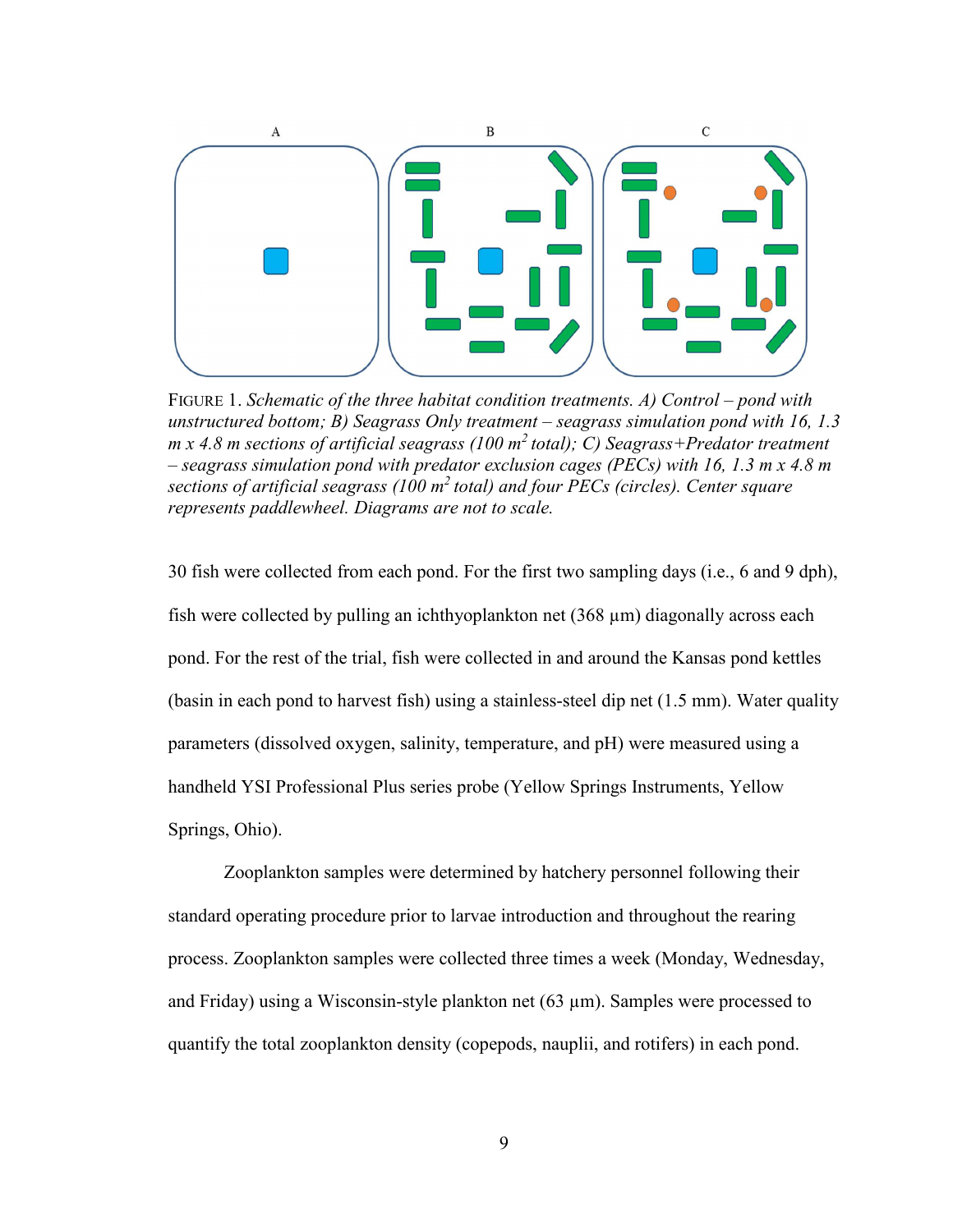

FIGURE 1. *Schematic of the three habitat condition treatments. A) Control – pond with unstructured bottom; B) Seagrass Only treatment – seagrass simulation pond with 16, 1.3 m x 4.8 m sections of artificial seagrass (100 m<sup>2</sup>total); C) Seagrass+Predator treatment – seagrass simulation pond with predator exclusion cages (PECs) with 16, 1.3 m x 4.8 m sections of artificial seagrass (100 m<sup>2</sup>total) and four PECs (circles). Center square represents paddlewheel. Diagrams are not to scale.*

30 fish were collected from each pond. For the first two sampling days (i.e., 6 and 9 dph), fish were collected by pulling an ichthyoplankton net (368 µm) diagonally across each pond. For the rest of the trial, fish were collected in and around the Kansas pond kettles (basin in each pond to harvest fish) using a stainless-steel dip net (1.5 mm). Water quality parameters (dissolved oxygen, salinity, temperature, and pH) were measured using a handheld YSI Professional Plus series probe (Yellow Springs Instruments, Yellow Springs, Ohio).

 Zooplankton samples were determined by hatchery personnel following their standard operating procedure prior to larvae introduction and throughout the rearing process. Zooplankton samples were collected three times a week (Monday, Wednesday, and Friday) using a Wisconsin-style plankton net  $(63 \text{ µm})$ . Samples were processed to quantify the total zooplankton density (copepods, nauplii, and rotifers) in each pond.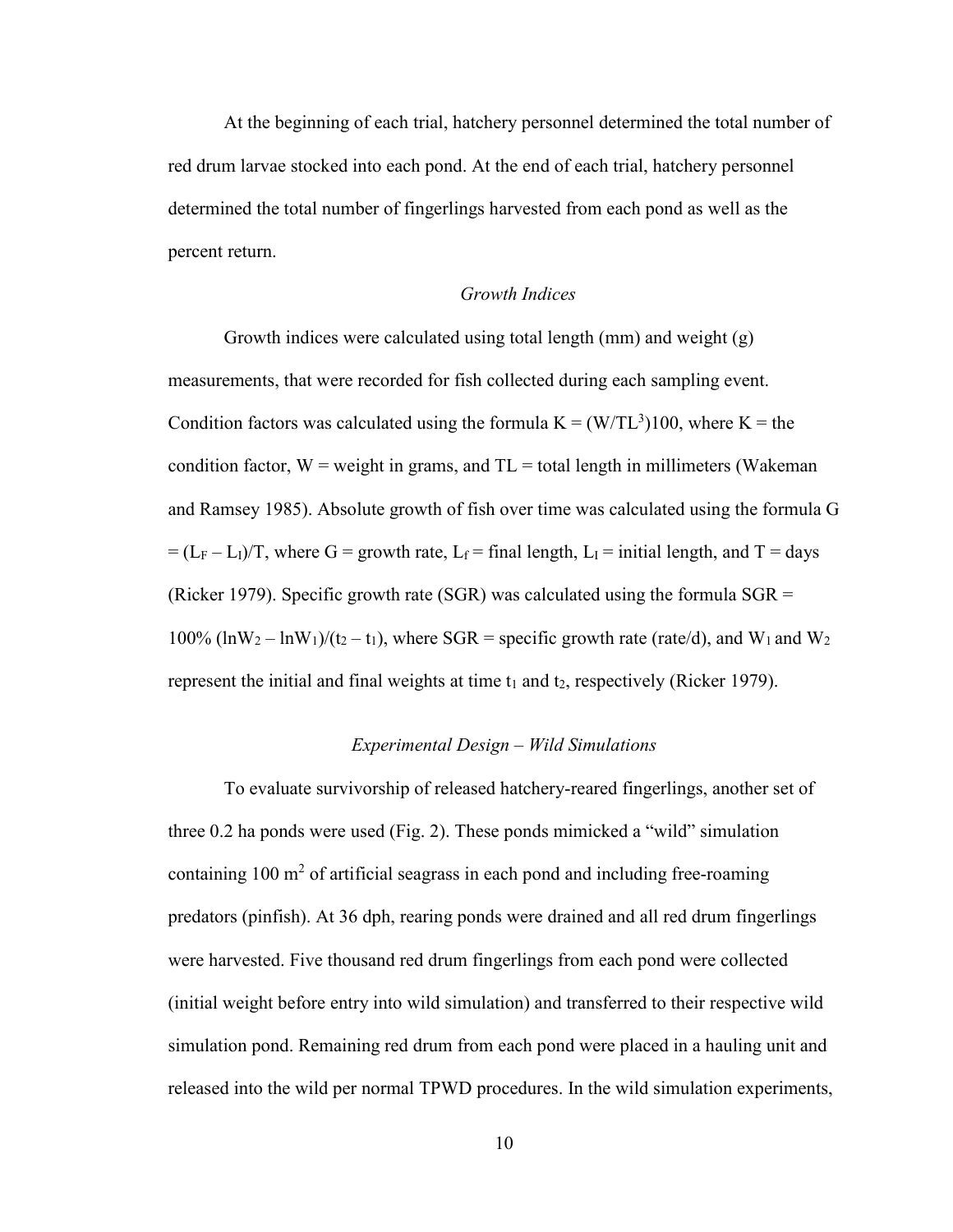At the beginning of each trial, hatchery personnel determined the total number of red drum larvae stocked into each pond. At the end of each trial, hatchery personnel determined the total number of fingerlings harvested from each pond as well as the percent return.

## *Growth Indices*

 Growth indices were calculated using total length (mm) and weight (g) measurements, that were recorded for fish collected during each sampling event. Condition factors was calculated using the formula  $K = (W/TL^3)100$ , where  $K =$  the condition factor,  $W =$  weight in grams, and  $TL =$  total length in millimeters (Wakeman) and Ramsey 1985). Absolute growth of fish over time was calculated using the formula G  $= (L_F - L_I)/T$ , where G = growth rate, L<sub>f</sub> = final length, L<sub>I</sub> = initial length, and T = days (Ricker 1979). Specific growth rate (SGR) was calculated using the formula  $SGR =$ 100%  $(lnW_2 - lnW_1)/(t_2 - t_1)$ , where SGR = specific growth rate (rate/d), and  $W_1$  and  $W_2$ represent the initial and final weights at time  $t_1$  and  $t_2$ , respectively (Ricker 1979).

## *Experimental Design – Wild Simulations*

 To evaluate survivorship of released hatchery-reared fingerlings, another set of three 0.2 ha ponds were used (Fig. 2). These ponds mimicked a "wild" simulation containing  $100 \text{ m}^2$  of artificial seagrass in each pond and including free-roaming predators (pinfish). At 36 dph, rearing ponds were drained and all red drum fingerlings were harvested. Five thousand red drum fingerlings from each pond were collected (initial weight before entry into wild simulation) and transferred to their respective wild simulation pond. Remaining red drum from each pond were placed in a hauling unit and released into the wild per normal TPWD procedures. In the wild simulation experiments,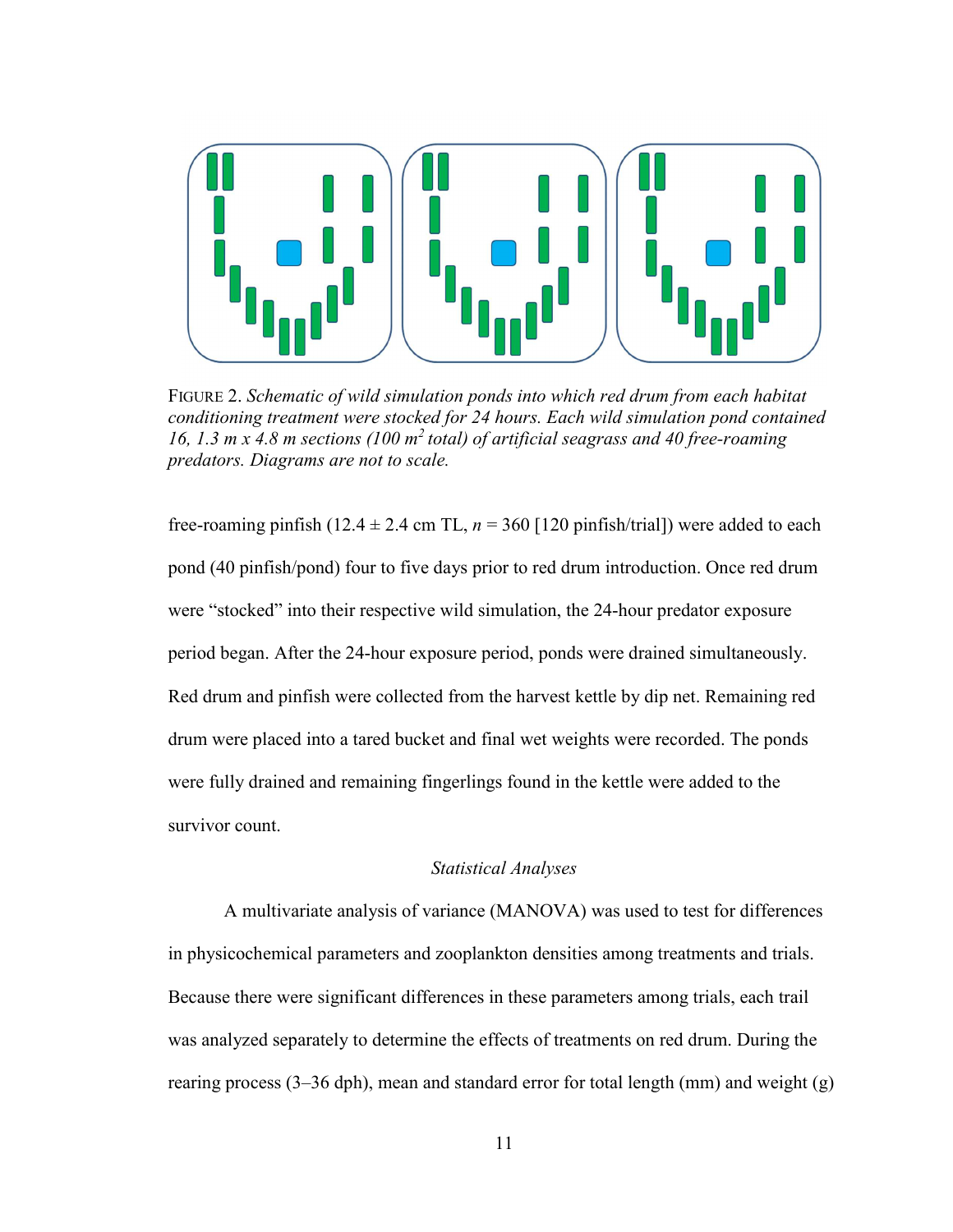

FIGURE 2. *Schematic of wild simulation ponds into which red drum from each habitat conditioning treatment were stocked for 24 hours. Each wild simulation pond contained 16, 1.3 m x 4.8 m sections (100 m<sup>2</sup>total) of artificial seagrass and 40 free-roaming predators. Diagrams are not to scale.* 

free-roaming pinfish (12.4  $\pm$  2.4 cm TL,  $n = 360$  [120 pinfish/trial]) were added to each pond (40 pinfish/pond) four to five days prior to red drum introduction. Once red drum were "stocked" into their respective wild simulation, the 24-hour predator exposure period began. After the 24-hour exposure period, ponds were drained simultaneously. Red drum and pinfish were collected from the harvest kettle by dip net. Remaining red drum were placed into a tared bucket and final wet weights were recorded. The ponds were fully drained and remaining fingerlings found in the kettle were added to the survivor count.

## *Statistical Analyses*

 A multivariate analysis of variance (MANOVA) was used to test for differences in physicochemical parameters and zooplankton densities among treatments and trials. Because there were significant differences in these parameters among trials, each trail was analyzed separately to determine the effects of treatments on red drum. During the rearing process (3–36 dph), mean and standard error for total length (mm) and weight (g)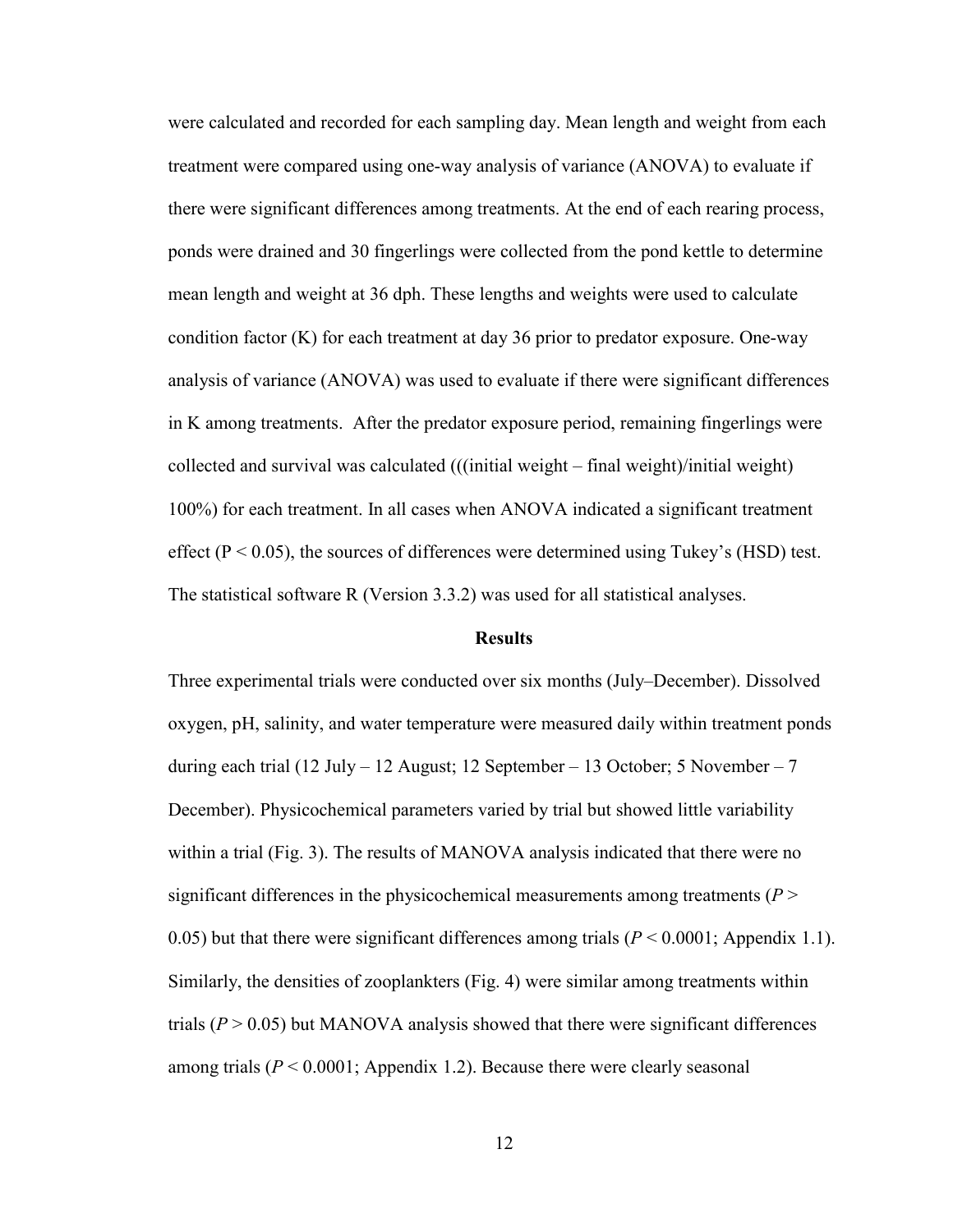were calculated and recorded for each sampling day. Mean length and weight from each treatment were compared using one-way analysis of variance (ANOVA) to evaluate if there were significant differences among treatments. At the end of each rearing process, ponds were drained and 30 fingerlings were collected from the pond kettle to determine mean length and weight at 36 dph. These lengths and weights were used to calculate condition factor (K) for each treatment at day 36 prior to predator exposure. One-way analysis of variance (ANOVA) was used to evaluate if there were significant differences in K among treatments. After the predator exposure period, remaining fingerlings were collected and survival was calculated (((initial weight – final weight)/initial weight) 100%) for each treatment. In all cases when ANOVA indicated a significant treatment effect ( $P < 0.05$ ), the sources of differences were determined using Tukey's (HSD) test. The statistical software R (Version 3.3.2) was used for all statistical analyses.

#### **Results**

Three experimental trials were conducted over six months (July–December). Dissolved oxygen, pH, salinity, and water temperature were measured daily within treatment ponds during each trial (12 July – 12 August; 12 September – 13 October; 5 November – 7 December). Physicochemical parameters varied by trial but showed little variability within a trial (Fig. 3). The results of MANOVA analysis indicated that there were no significant differences in the physicochemical measurements among treatments (*P* > 0.05) but that there were significant differences among trials  $(P < 0.0001$ ; Appendix 1.1). Similarly, the densities of zooplankters (Fig. 4) were similar among treatments within trials  $(P > 0.05)$  but MANOVA analysis showed that there were significant differences among trials  $(P \le 0.0001$ ; Appendix 1.2). Because there were clearly seasonal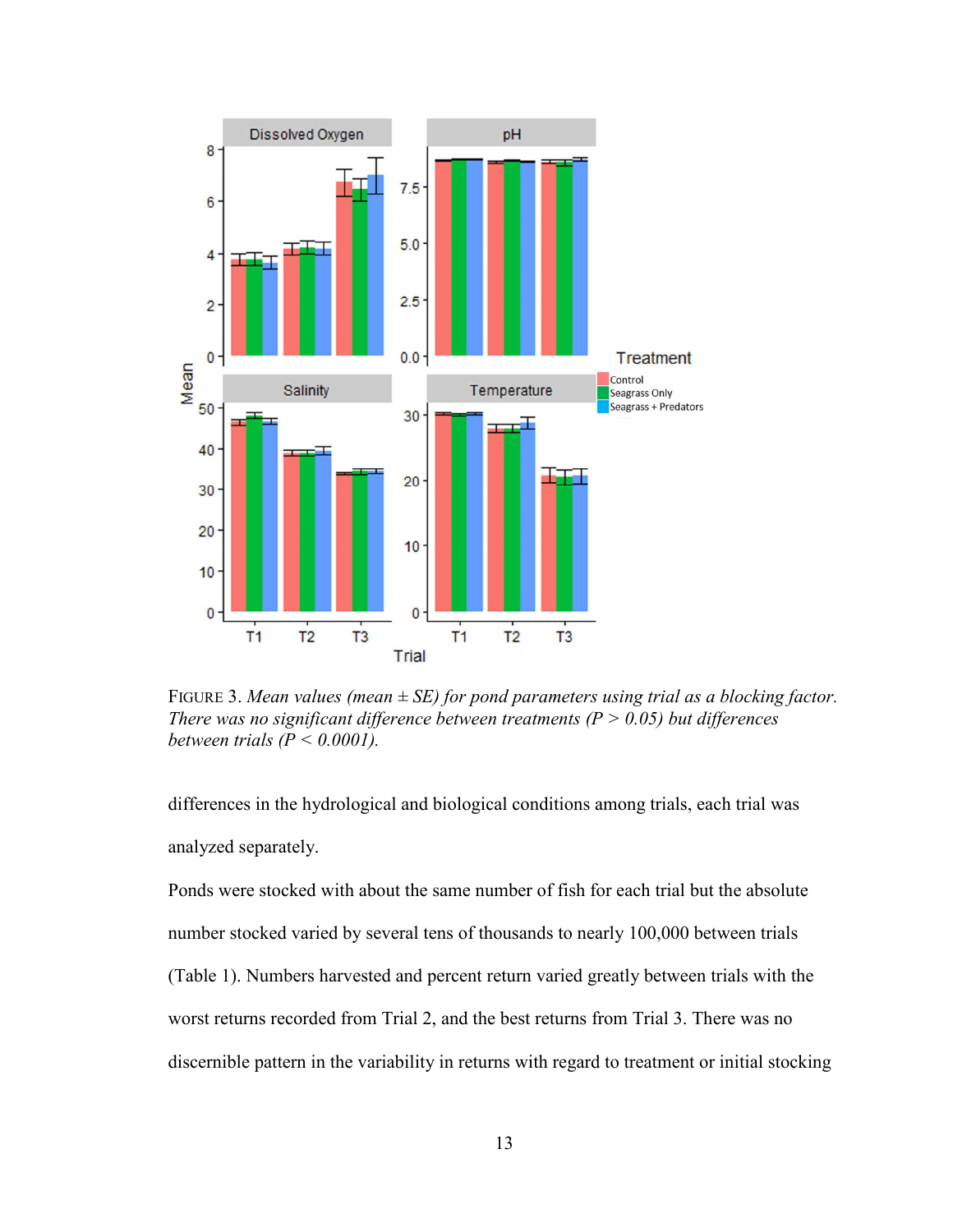

FIGURE 3. *Mean values (mean ± SE) for pond parameters using trial as a blocking factor. There was no significant difference between treatments (P > 0.05) but differences between trials*  $(P < 0.0001)$ *.* 

differences in the hydrological and biological conditions among trials, each trial was analyzed separately.

Ponds were stocked with about the same number of fish for each trial but the absolute number stocked varied by several tens of thousands to nearly 100,000 between trials (Table 1). Numbers harvested and percent return varied greatly between trials with the worst returns recorded from Trial 2, and the best returns from Trial 3. There was no discernible pattern in the variability in returns with regard to treatment or initial stocking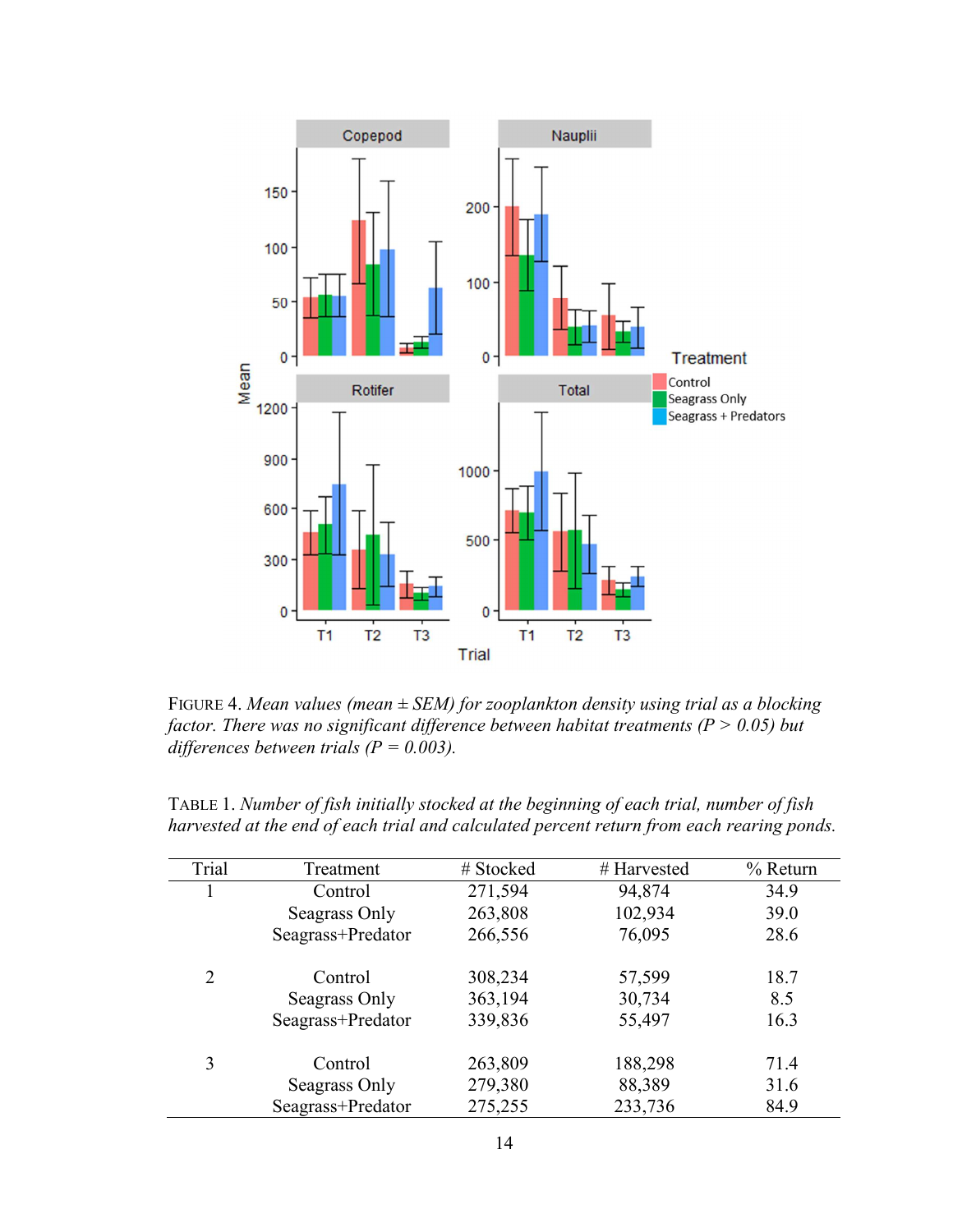

FIGURE 4. *Mean values (mean ± SEM) for zooplankton density using trial as a blocking factor. There was no significant difference between habitat treatments (P > 0.05) but differences between trials (P = 0.003).* 

| TABLE 1. Number of fish initially stocked at the beginning of each trial, number of fish  |  |
|-------------------------------------------------------------------------------------------|--|
| harvested at the end of each trial and calculated percent return from each rearing ponds. |  |

| Trial | Treatment         | # Stocked | # Harvested | $%$ Return |
|-------|-------------------|-----------|-------------|------------|
|       | Control           | 271,594   | 94,874      | 34.9       |
|       | Seagrass Only     | 263,808   | 102,934     | 39.0       |
|       | Seagrass+Predator | 266,556   | 76,095      | 28.6       |
| 2     | Control           | 308,234   | 57,599      | 18.7       |
|       | Seagrass Only     | 363,194   | 30,734      | 8.5        |
|       | Seagrass+Predator | 339,836   | 55,497      | 16.3       |
| 3     | Control           | 263,809   | 188,298     | 71.4       |
|       | Seagrass Only     | 279,380   | 88,389      | 31.6       |
|       | Seagrass+Predator | 275,255   | 233,736     | 84.9       |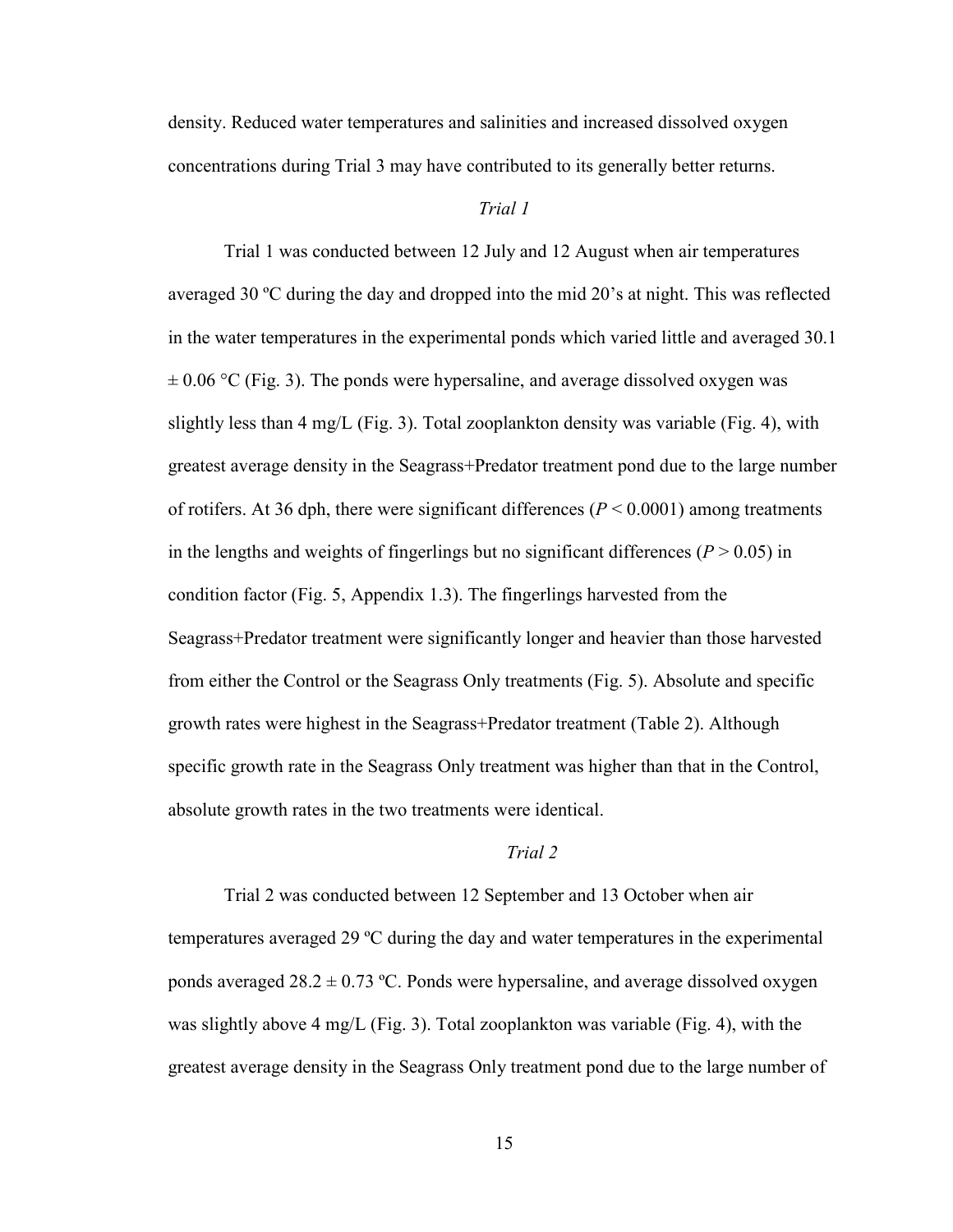density. Reduced water temperatures and salinities and increased dissolved oxygen concentrations during Trial 3 may have contributed to its generally better returns.

### *Trial 1*

Trial 1 was conducted between 12 July and 12 August when air temperatures averaged 30 ºC during the day and dropped into the mid 20's at night. This was reflected in the water temperatures in the experimental ponds which varied little and averaged 30.1  $\pm$  0.06 °C (Fig. 3). The ponds were hypersaline, and average dissolved oxygen was slightly less than 4 mg/L (Fig. 3). Total zooplankton density was variable (Fig. 4), with greatest average density in the Seagrass+Predator treatment pond due to the large number of rotifers. At 36 dph, there were significant differences ( $P < 0.0001$ ) among treatments in the lengths and weights of fingerlings but no significant differences ( $P > 0.05$ ) in condition factor (Fig. 5, Appendix 1.3). The fingerlings harvested from the Seagrass+Predator treatment were significantly longer and heavier than those harvested from either the Control or the Seagrass Only treatments (Fig. 5). Absolute and specific growth rates were highest in the Seagrass+Predator treatment (Table 2). Although specific growth rate in the Seagrass Only treatment was higher than that in the Control, absolute growth rates in the two treatments were identical.

## *Trial 2*

Trial 2 was conducted between 12 September and 13 October when air temperatures averaged 29 ºC during the day and water temperatures in the experimental ponds averaged  $28.2 \pm 0.73$  °C. Ponds were hypersaline, and average dissolved oxygen was slightly above 4 mg/L (Fig. 3). Total zooplankton was variable (Fig. 4), with the greatest average density in the Seagrass Only treatment pond due to the large number of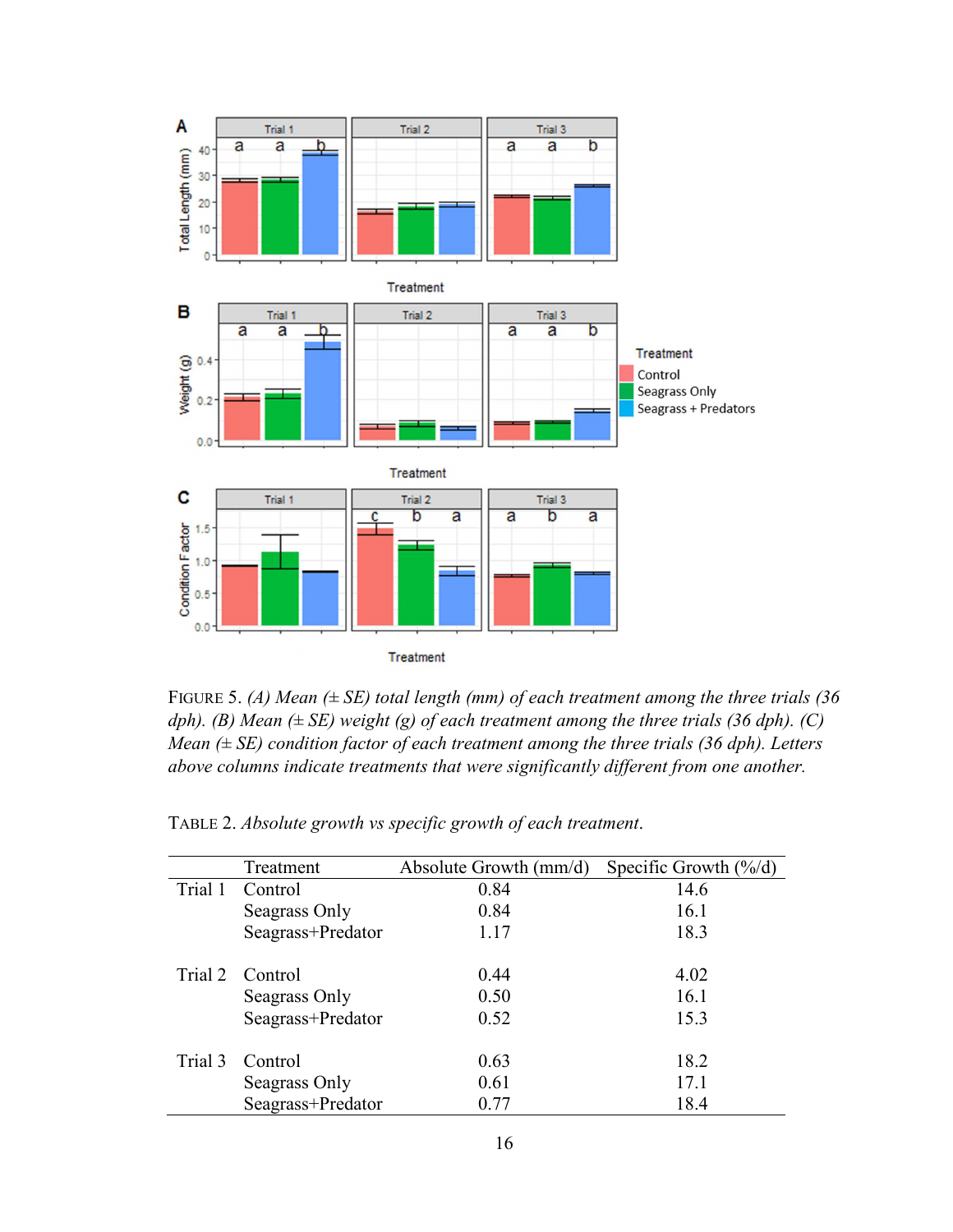

FIGURE 5. *(A) Mean (± SE) total length (mm) of each treatment among the three trials (36 dph).* (*B)* Mean  $(\pm SE)$  weight (g) of each treatment among the three trials (36 dph). (C) *Mean (± SE) condition factor of each treatment among the three trials (36 dph). Letters above columns indicate treatments that were significantly different from one another.* 

|         | Treatment         | Absolute Growth $\text{(mm/d)}$ | Specific Growth $(\frac{6}{d})$ |
|---------|-------------------|---------------------------------|---------------------------------|
| Trial 1 | Control           | 0.84                            | 14.6                            |
|         | Seagrass Only     | 0.84                            | 16.1                            |
|         | Seagrass+Predator | 1.17                            | 18.3                            |
|         | Trial 2 Control   | 0.44                            | 4.02                            |
|         | Seagrass Only     | 0.50                            | 16.1                            |
|         | Seagrass+Predator | 0.52                            | 15.3                            |
| Trial 3 | Control           | 0.63                            | 18.2                            |
|         | Seagrass Only     | 0.61                            | 17.1                            |
|         | Seagrass+Predator | 0.77                            | 18.4                            |

TABLE 2. *Absolute growth vs specific growth of each treatment*.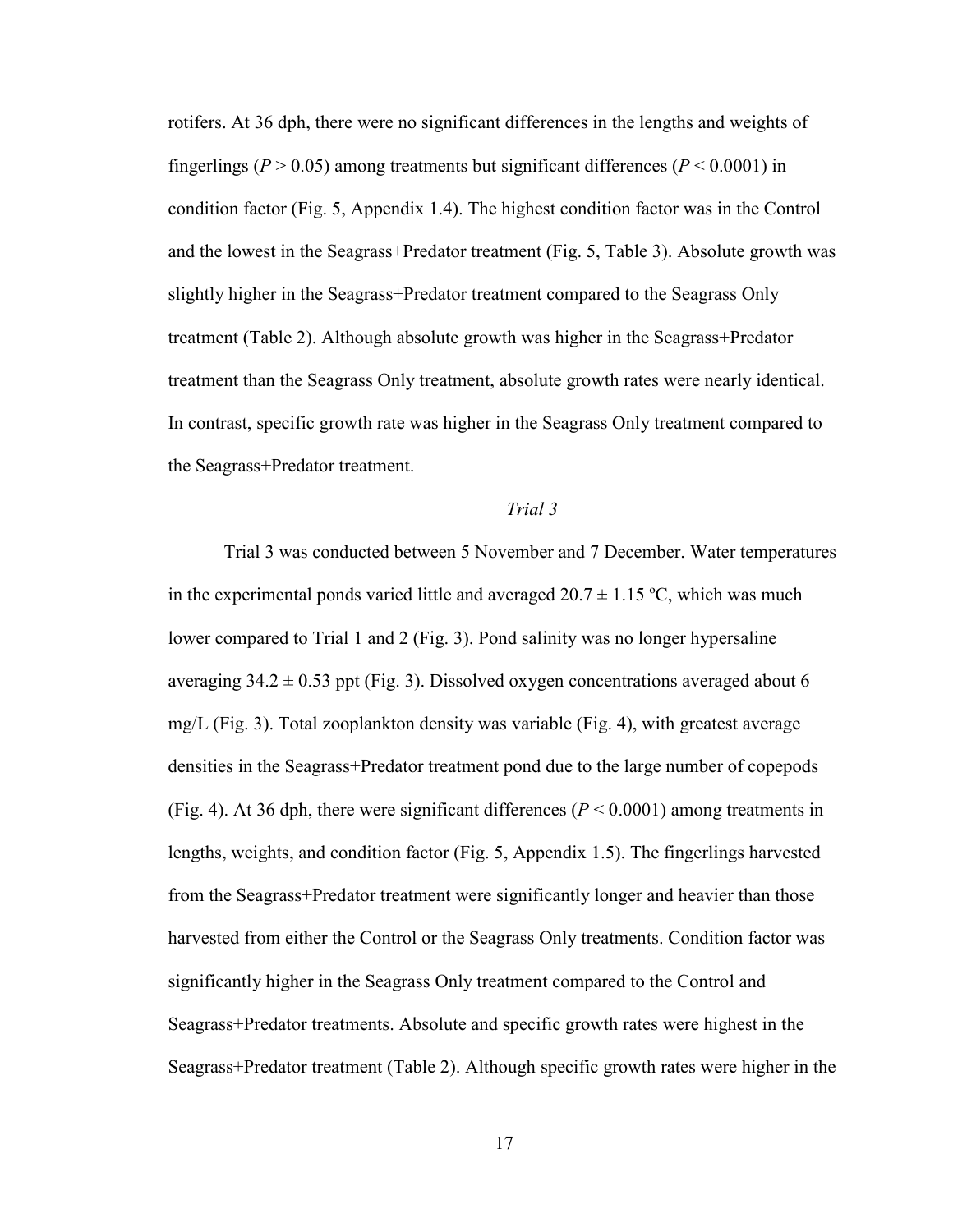rotifers. At 36 dph, there were no significant differences in the lengths and weights of fingerlings ( $P > 0.05$ ) among treatments but significant differences ( $P < 0.0001$ ) in condition factor (Fig. 5, Appendix 1.4). The highest condition factor was in the Control and the lowest in the Seagrass+Predator treatment (Fig. 5, Table 3). Absolute growth was slightly higher in the Seagrass+Predator treatment compared to the Seagrass Only treatment (Table 2). Although absolute growth was higher in the Seagrass+Predator treatment than the Seagrass Only treatment, absolute growth rates were nearly identical. In contrast, specific growth rate was higher in the Seagrass Only treatment compared to the Seagrass+Predator treatment.

### *Trial 3*

Trial 3 was conducted between 5 November and 7 December. Water temperatures in the experimental ponds varied little and averaged  $20.7 \pm 1.15$  °C, which was much lower compared to Trial 1 and 2 (Fig. 3). Pond salinity was no longer hypersaline averaging  $34.2 \pm 0.53$  ppt (Fig. 3). Dissolved oxygen concentrations averaged about 6 mg/L (Fig. 3). Total zooplankton density was variable (Fig. 4), with greatest average densities in the Seagrass+Predator treatment pond due to the large number of copepods (Fig. 4). At 36 dph, there were significant differences ( $P \le 0.0001$ ) among treatments in lengths, weights, and condition factor (Fig. 5, Appendix 1.5). The fingerlings harvested from the Seagrass+Predator treatment were significantly longer and heavier than those harvested from either the Control or the Seagrass Only treatments. Condition factor was significantly higher in the Seagrass Only treatment compared to the Control and Seagrass+Predator treatments. Absolute and specific growth rates were highest in the Seagrass+Predator treatment (Table 2). Although specific growth rates were higher in the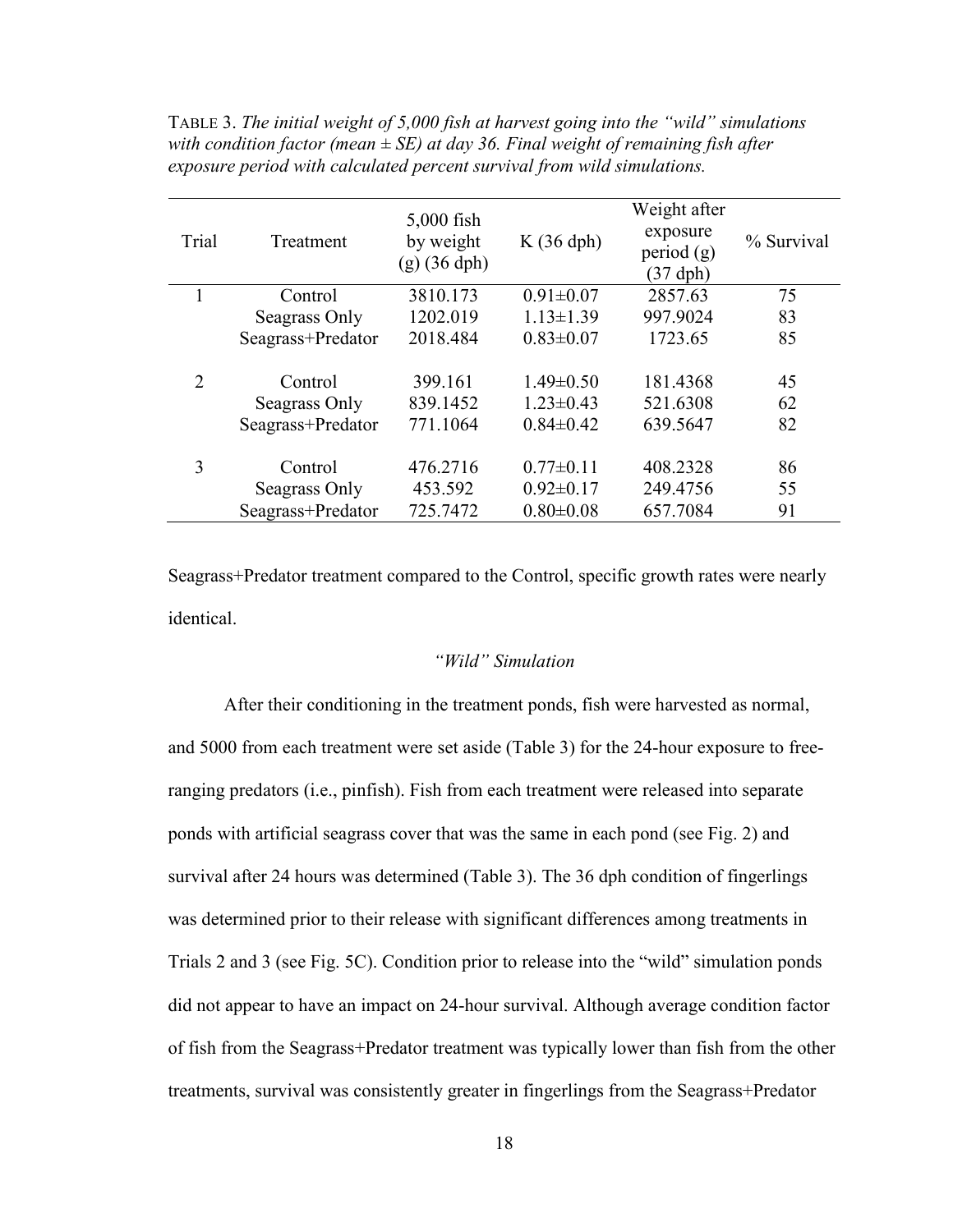| Trial                       | Treatment                                     | $5,000$ fish<br>by weight<br>$(g)$ (36 dph) | K(36 dph)                                             | Weight after<br>exposure<br>period $(g)$<br>$(37$ dph $)$ | % Survival     |
|-----------------------------|-----------------------------------------------|---------------------------------------------|-------------------------------------------------------|-----------------------------------------------------------|----------------|
|                             | Control                                       | 3810.173                                    | $0.91 \pm 0.07$                                       | 2857.63                                                   | 75             |
|                             | Seagrass Only                                 | 1202.019                                    | $1.13 \pm 1.39$                                       | 997.9024                                                  | 83             |
|                             | Seagrass+Predator                             | 2018.484                                    | $0.83 \pm 0.07$                                       | 1723.65                                                   | 85             |
| $\mathcal{D}_{\mathcal{L}}$ | Control<br>Seagrass Only<br>Seagrass+Predator | 399.161<br>839.1452<br>771.1064             | $1.49 \pm 0.50$<br>$1.23 \pm 0.43$<br>$0.84 \pm 0.42$ | 181.4368<br>521.6308<br>639.5647                          | 45<br>62<br>82 |
| 3                           | Control<br>Seagrass Only<br>Seagrass+Predator | 476.2716<br>453.592<br>725.7472             | $0.77 \pm 0.11$<br>$0.92 \pm 0.17$<br>$0.80 \pm 0.08$ | 408.2328<br>249.4756<br>657.7084                          | 86<br>55<br>91 |

TABLE 3. *The initial weight of 5,000 fish at harvest going into the "wild" simulations with condition factor (mean ± SE) at day 36. Final weight of remaining fish after exposure period with calculated percent survival from wild simulations.* 

Seagrass+Predator treatment compared to the Control, specific growth rates were nearly identical.

### *"Wild" Simulation*

After their conditioning in the treatment ponds, fish were harvested as normal, and 5000 from each treatment were set aside (Table 3) for the 24-hour exposure to freeranging predators (i.e., pinfish). Fish from each treatment were released into separate ponds with artificial seagrass cover that was the same in each pond (see Fig. 2) and survival after 24 hours was determined (Table 3). The 36 dph condition of fingerlings was determined prior to their release with significant differences among treatments in Trials 2 and 3 (see Fig. 5C). Condition prior to release into the "wild" simulation ponds did not appear to have an impact on 24-hour survival. Although average condition factor of fish from the Seagrass+Predator treatment was typically lower than fish from the other treatments, survival was consistently greater in fingerlings from the Seagrass+Predator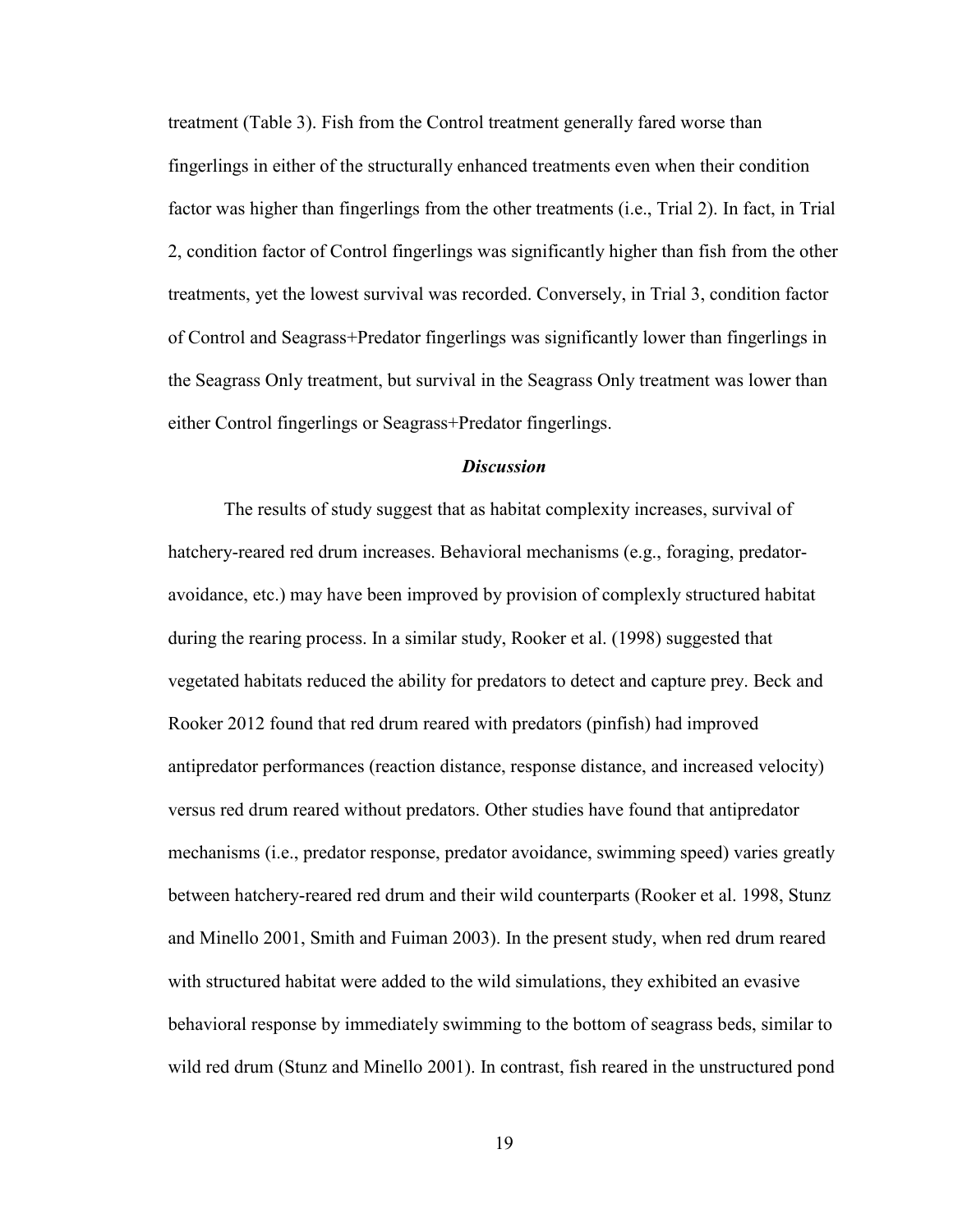treatment (Table 3). Fish from the Control treatment generally fared worse than fingerlings in either of the structurally enhanced treatments even when their condition factor was higher than fingerlings from the other treatments (i.e., Trial 2). In fact, in Trial 2, condition factor of Control fingerlings was significantly higher than fish from the other treatments, yet the lowest survival was recorded. Conversely, in Trial 3, condition factor of Control and Seagrass+Predator fingerlings was significantly lower than fingerlings in the Seagrass Only treatment, but survival in the Seagrass Only treatment was lower than either Control fingerlings or Seagrass+Predator fingerlings.

### *Discussion*

 The results of study suggest that as habitat complexity increases, survival of hatchery-reared red drum increases. Behavioral mechanisms (e.g., foraging, predatoravoidance, etc.) may have been improved by provision of complexly structured habitat during the rearing process. In a similar study, Rooker et al. (1998) suggested that vegetated habitats reduced the ability for predators to detect and capture prey. Beck and Rooker 2012 found that red drum reared with predators (pinfish) had improved antipredator performances (reaction distance, response distance, and increased velocity) versus red drum reared without predators. Other studies have found that antipredator mechanisms (i.e., predator response, predator avoidance, swimming speed) varies greatly between hatchery-reared red drum and their wild counterparts (Rooker et al. 1998, Stunz and Minello 2001, Smith and Fuiman 2003). In the present study, when red drum reared with structured habitat were added to the wild simulations, they exhibited an evasive behavioral response by immediately swimming to the bottom of seagrass beds, similar to wild red drum (Stunz and Minello 2001). In contrast, fish reared in the unstructured pond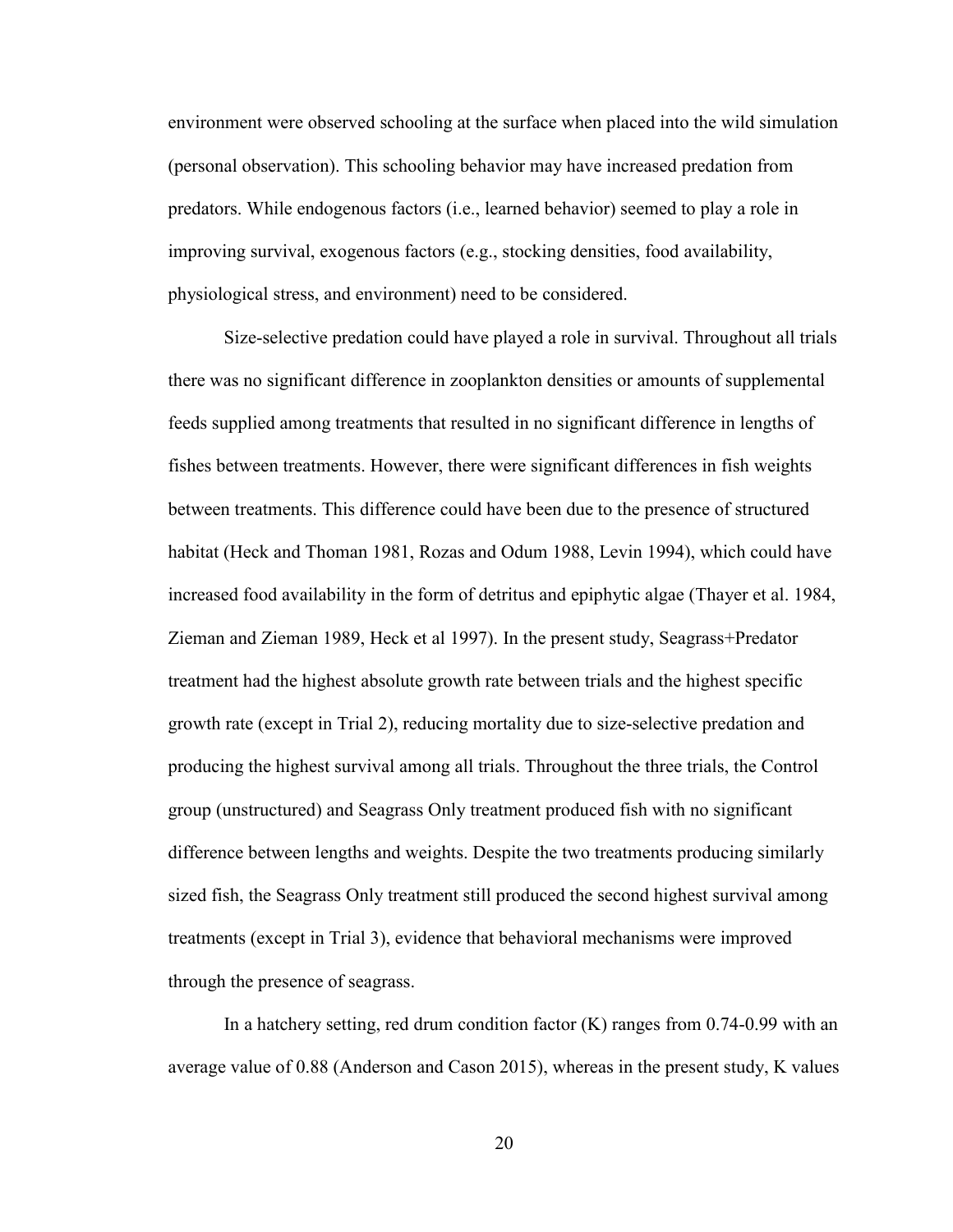environment were observed schooling at the surface when placed into the wild simulation (personal observation). This schooling behavior may have increased predation from predators. While endogenous factors (i.e., learned behavior) seemed to play a role in improving survival, exogenous factors (e.g., stocking densities, food availability, physiological stress, and environment) need to be considered.

 Size-selective predation could have played a role in survival. Throughout all trials there was no significant difference in zooplankton densities or amounts of supplemental feeds supplied among treatments that resulted in no significant difference in lengths of fishes between treatments. However, there were significant differences in fish weights between treatments. This difference could have been due to the presence of structured habitat (Heck and Thoman 1981, Rozas and Odum 1988, Levin 1994), which could have increased food availability in the form of detritus and epiphytic algae (Thayer et al. 1984, Zieman and Zieman 1989, Heck et al 1997). In the present study, Seagrass+Predator treatment had the highest absolute growth rate between trials and the highest specific growth rate (except in Trial 2), reducing mortality due to size-selective predation and producing the highest survival among all trials. Throughout the three trials, the Control group (unstructured) and Seagrass Only treatment produced fish with no significant difference between lengths and weights. Despite the two treatments producing similarly sized fish, the Seagrass Only treatment still produced the second highest survival among treatments (except in Trial 3), evidence that behavioral mechanisms were improved through the presence of seagrass.

In a hatchery setting, red drum condition factor  $(K)$  ranges from 0.74-0.99 with an average value of 0.88 (Anderson and Cason 2015), whereas in the present study, K values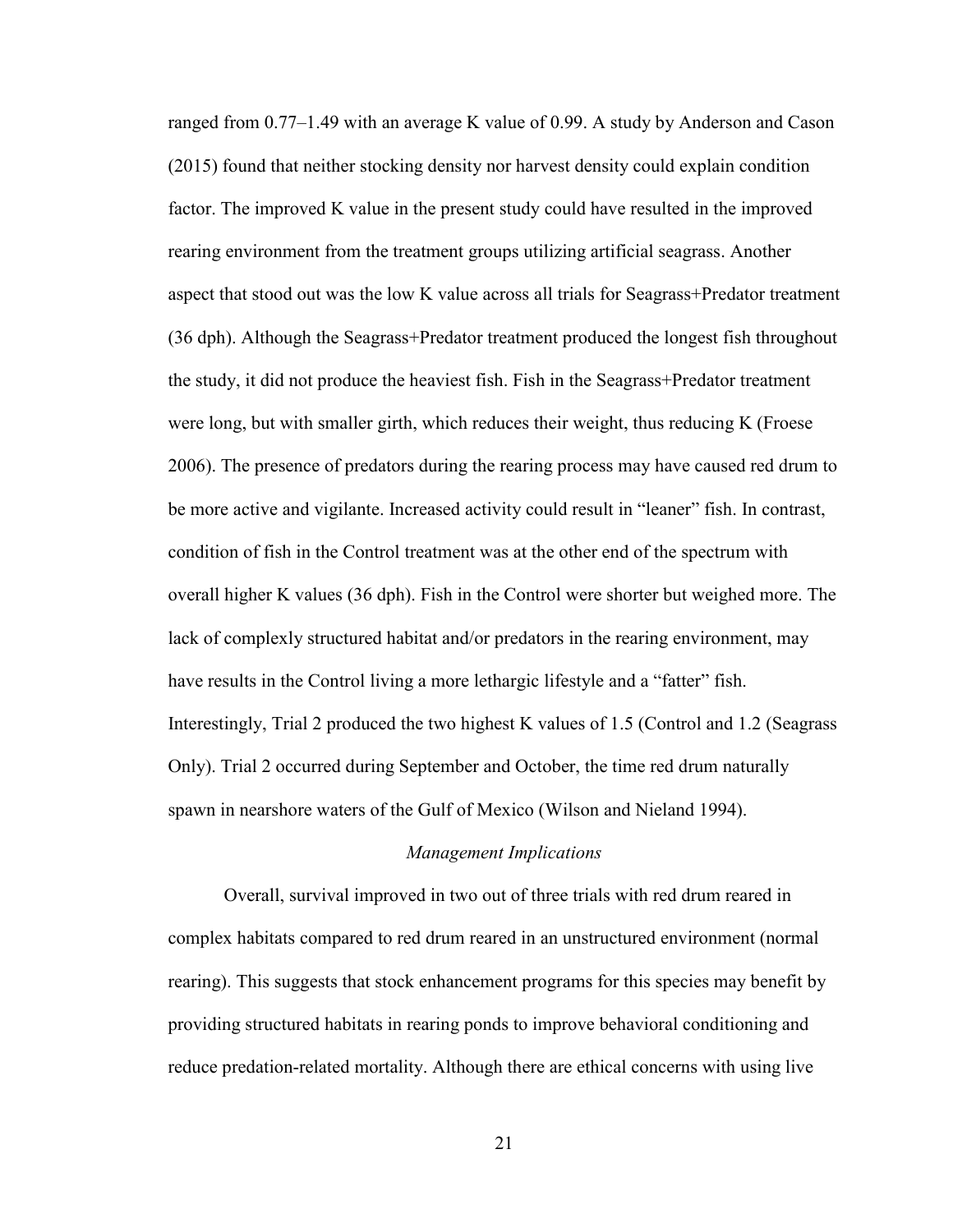ranged from 0.77–1.49 with an average K value of 0.99. A study by Anderson and Cason (2015) found that neither stocking density nor harvest density could explain condition factor. The improved K value in the present study could have resulted in the improved rearing environment from the treatment groups utilizing artificial seagrass. Another aspect that stood out was the low K value across all trials for Seagrass+Predator treatment (36 dph). Although the Seagrass+Predator treatment produced the longest fish throughout the study, it did not produce the heaviest fish. Fish in the Seagrass+Predator treatment were long, but with smaller girth, which reduces their weight, thus reducing K (Froese 2006). The presence of predators during the rearing process may have caused red drum to be more active and vigilante. Increased activity could result in "leaner" fish. In contrast, condition of fish in the Control treatment was at the other end of the spectrum with overall higher K values (36 dph). Fish in the Control were shorter but weighed more. The lack of complexly structured habitat and/or predators in the rearing environment, may have results in the Control living a more lethargic lifestyle and a "fatter" fish. Interestingly, Trial 2 produced the two highest K values of 1.5 (Control and 1.2 (Seagrass Only). Trial 2 occurred during September and October, the time red drum naturally spawn in nearshore waters of the Gulf of Mexico (Wilson and Nieland 1994).

#### *Management Implications*

 Overall, survival improved in two out of three trials with red drum reared in complex habitats compared to red drum reared in an unstructured environment (normal rearing). This suggests that stock enhancement programs for this species may benefit by providing structured habitats in rearing ponds to improve behavioral conditioning and reduce predation-related mortality. Although there are ethical concerns with using live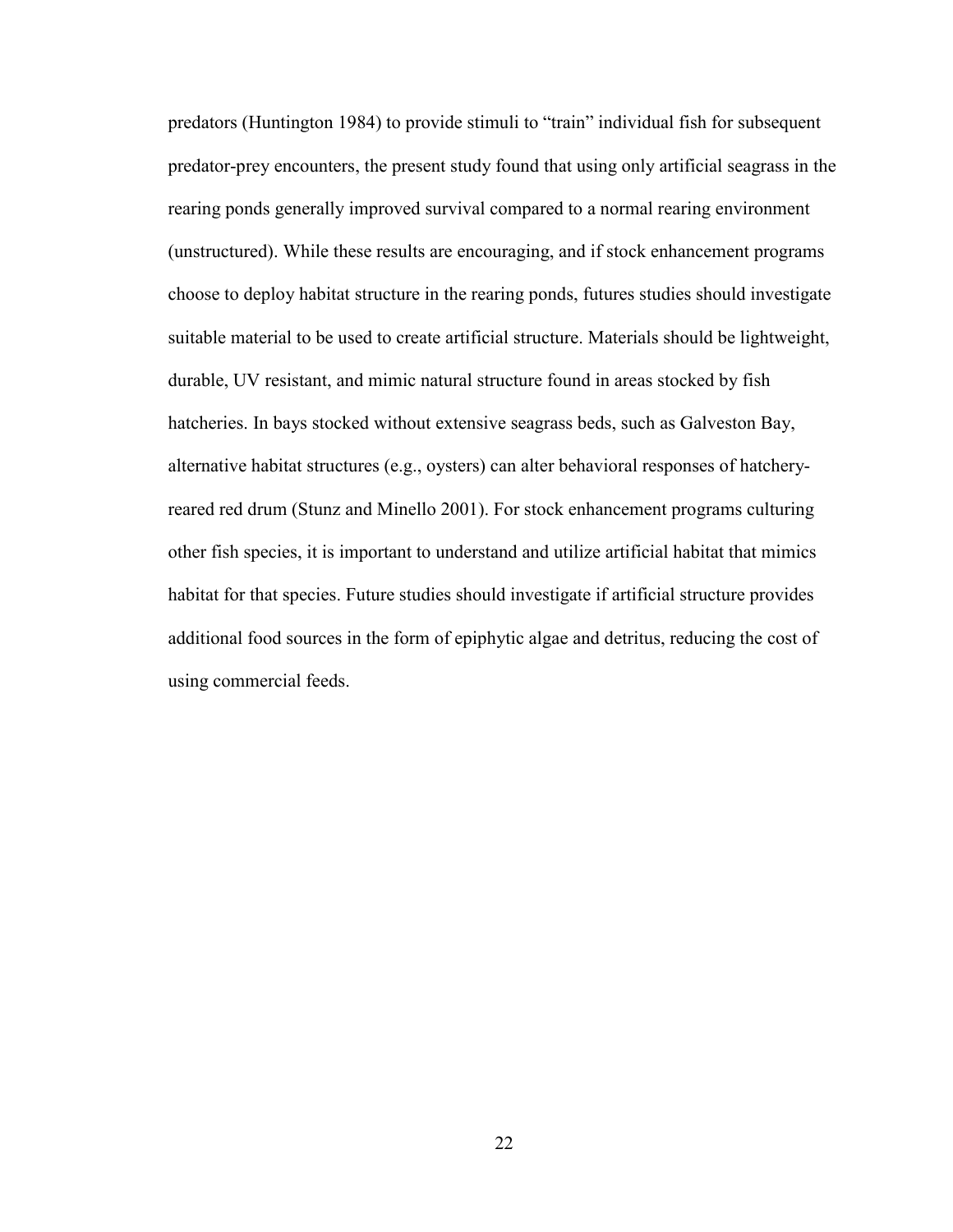predators (Huntington 1984) to provide stimuli to "train" individual fish for subsequent predator-prey encounters, the present study found that using only artificial seagrass in the rearing ponds generally improved survival compared to a normal rearing environment (unstructured). While these results are encouraging, and if stock enhancement programs choose to deploy habitat structure in the rearing ponds, futures studies should investigate suitable material to be used to create artificial structure. Materials should be lightweight, durable, UV resistant, and mimic natural structure found in areas stocked by fish hatcheries. In bays stocked without extensive seagrass beds, such as Galveston Bay, alternative habitat structures (e.g., oysters) can alter behavioral responses of hatcheryreared red drum (Stunz and Minello 2001). For stock enhancement programs culturing other fish species, it is important to understand and utilize artificial habitat that mimics habitat for that species. Future studies should investigate if artificial structure provides additional food sources in the form of epiphytic algae and detritus, reducing the cost of using commercial feeds.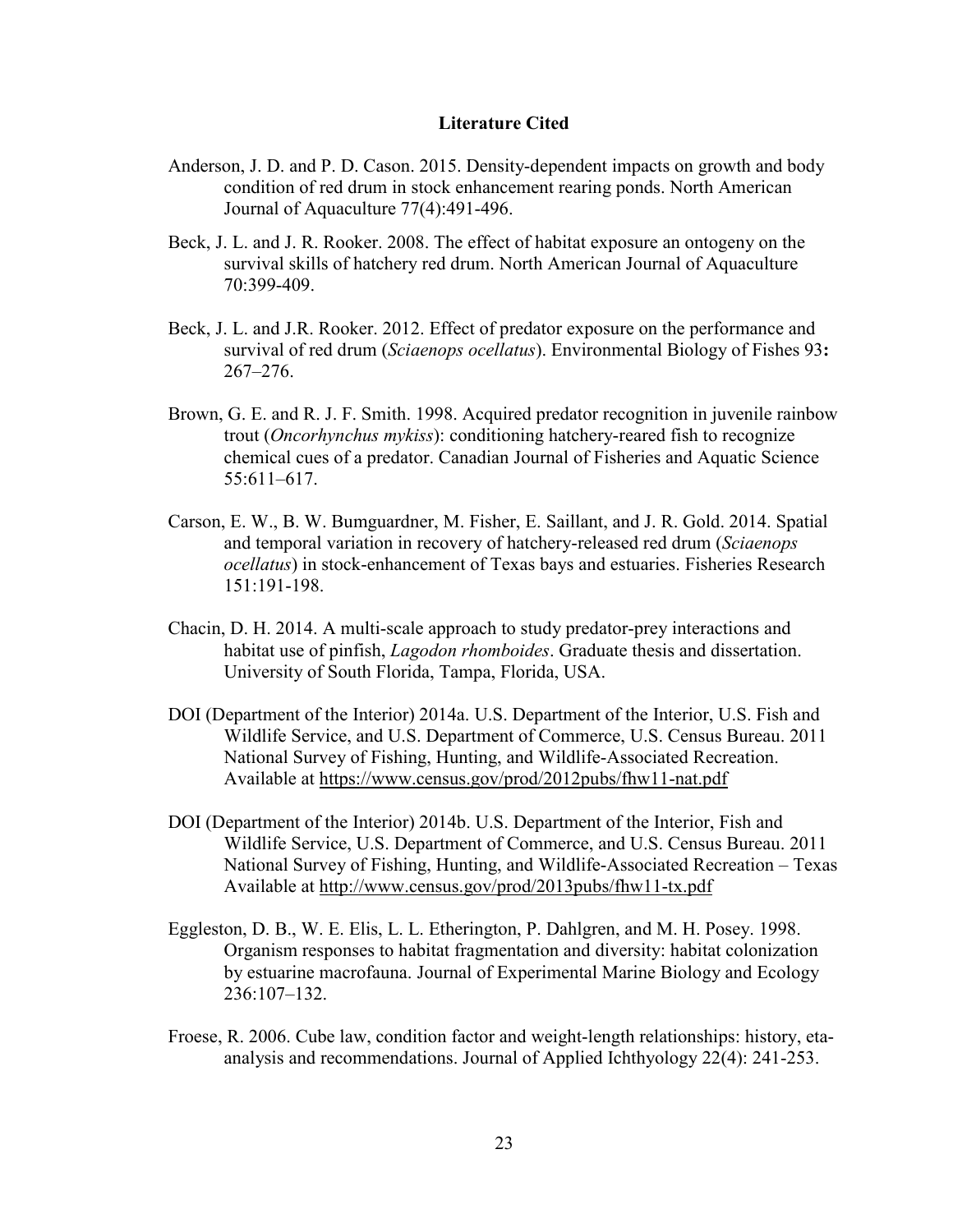#### **Literature Cited**

- Anderson, J. D. and P. D. Cason. 2015. Density-dependent impacts on growth and body condition of red drum in stock enhancement rearing ponds. North American Journal of Aquaculture 77(4):491-496.
- Beck, J. L. and J. R. Rooker. 2008. The effect of habitat exposure an ontogeny on the survival skills of hatchery red drum. North American Journal of Aquaculture 70:399-409.
- Beck, J. L. and J.R. Rooker. 2012. Effect of predator exposure on the performance and survival of red drum (*Sciaenops ocellatus*). Environmental Biology of Fishes 93**:**  267–276.
- Brown, G. E. and R. J. F. Smith. 1998. Acquired predator recognition in juvenile rainbow trout (*Oncorhynchus mykiss*): conditioning hatchery-reared fish to recognize chemical cues of a predator. Canadian Journal of Fisheries and Aquatic Science 55:611–617.
- Carson, E. W., B. W. Bumguardner, M. Fisher, E. Saillant, and J. R. Gold. 2014. Spatial and temporal variation in recovery of hatchery-released red drum (*Sciaenops ocellatus*) in stock-enhancement of Texas bays and estuaries. Fisheries Research 151:191-198.
- Chacin, D. H. 2014. A multi-scale approach to study predator-prey interactions and habitat use of pinfish, *Lagodon rhomboides*. Graduate thesis and dissertation. University of South Florida, Tampa, Florida, USA.
- DOI (Department of the Interior) 2014a. U.S. Department of the Interior, U.S. Fish and Wildlife Service, and U.S. Department of Commerce, U.S. Census Bureau. 2011 National Survey of Fishing, Hunting, and Wildlife-Associated Recreation. Available at https://www.census.gov/prod/2012pubs/fhw11-nat.pdf
- DOI (Department of the Interior) 2014b. U.S. Department of the Interior, Fish and Wildlife Service, U.S. Department of Commerce, and U.S. Census Bureau. 2011 National Survey of Fishing, Hunting, and Wildlife-Associated Recreation – Texas Available at http://www.census.gov/prod/2013pubs/fhw11-tx.pdf
- Eggleston, D. B., W. E. Elis, L. L. Etherington, P. Dahlgren, and M. H. Posey. 1998. Organism responses to habitat fragmentation and diversity: habitat colonization by estuarine macrofauna. Journal of Experimental Marine Biology and Ecology 236:107–132.
- Froese, R. 2006. Cube law, condition factor and weight-length relationships: history, etaanalysis and recommendations. Journal of Applied Ichthyology 22(4): 241-253.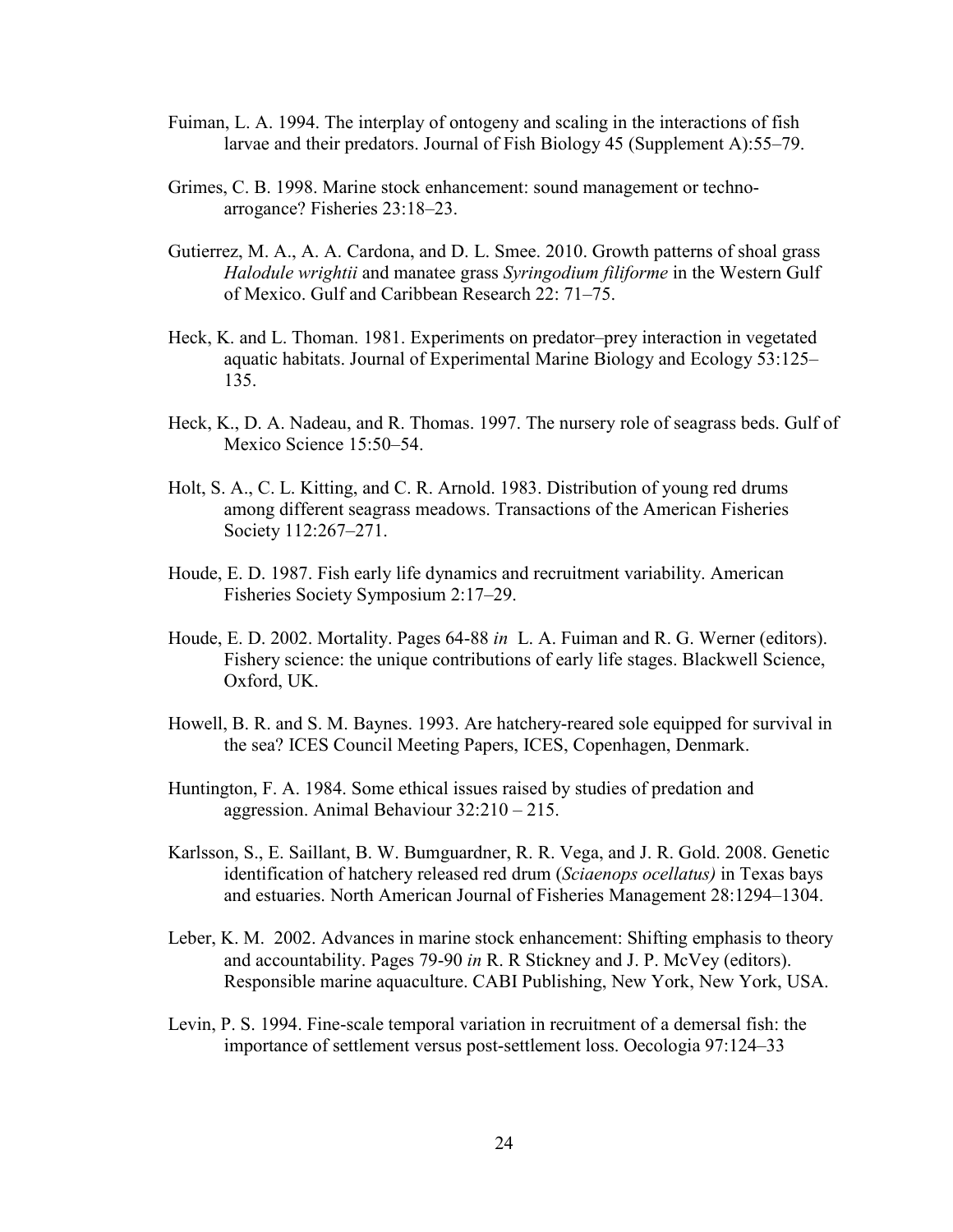- Fuiman, L. A. 1994. The interplay of ontogeny and scaling in the interactions of fish larvae and their predators. Journal of Fish Biology 45 (Supplement A):55–79.
- Grimes, C. B. 1998. Marine stock enhancement: sound management or technoarrogance? Fisheries 23:18–23.
- Gutierrez, M. A., A. A. Cardona, and D. L. Smee. 2010. Growth patterns of shoal grass *Halodule wrightii* and manatee grass *Syringodium filiforme* in the Western Gulf of Mexico. Gulf and Caribbean Research 22: 71–75.
- Heck, K. and L. Thoman. 1981. Experiments on predator–prey interaction in vegetated aquatic habitats. Journal of Experimental Marine Biology and Ecology 53:125– 135.
- Heck, K., D. A. Nadeau, and R. Thomas. 1997. The nursery role of seagrass beds. Gulf of Mexico Science 15:50–54.
- Holt, S. A., C. L. Kitting, and C. R. Arnold. 1983. Distribution of young red drums among different seagrass meadows. Transactions of the American Fisheries Society 112:267–271.
- Houde, E. D. 1987. Fish early life dynamics and recruitment variability. American Fisheries Society Symposium 2:17–29.
- Houde, E. D. 2002. Mortality. Pages 64-88 *in* L. A. Fuiman and R. G. Werner (editors). Fishery science: the unique contributions of early life stages. Blackwell Science, Oxford, UK.
- Howell, B. R. and S. M. Baynes. 1993. Are hatchery-reared sole equipped for survival in the sea? ICES Council Meeting Papers, ICES, Copenhagen, Denmark.
- Huntington, F. A. 1984. Some ethical issues raised by studies of predation and aggression. Animal Behaviour 32:210 – 215.
- Karlsson, S., E. Saillant, B. W. Bumguardner, R. R. Vega, and J. R. Gold. 2008. Genetic identification of hatchery released red drum (*Sciaenops ocellatus)* in Texas bays and estuaries. North American Journal of Fisheries Management 28:1294–1304.
- Leber, K. M. 2002. Advances in marine stock enhancement: Shifting emphasis to theory and accountability. Pages 79-90 *in* R. R Stickney and J. P. McVey (editors). Responsible marine aquaculture. CABI Publishing, New York, New York, USA.
- Levin, P. S. 1994. Fine-scale temporal variation in recruitment of a demersal fish: the importance of settlement versus post-settlement loss. Oecologia 97:124–33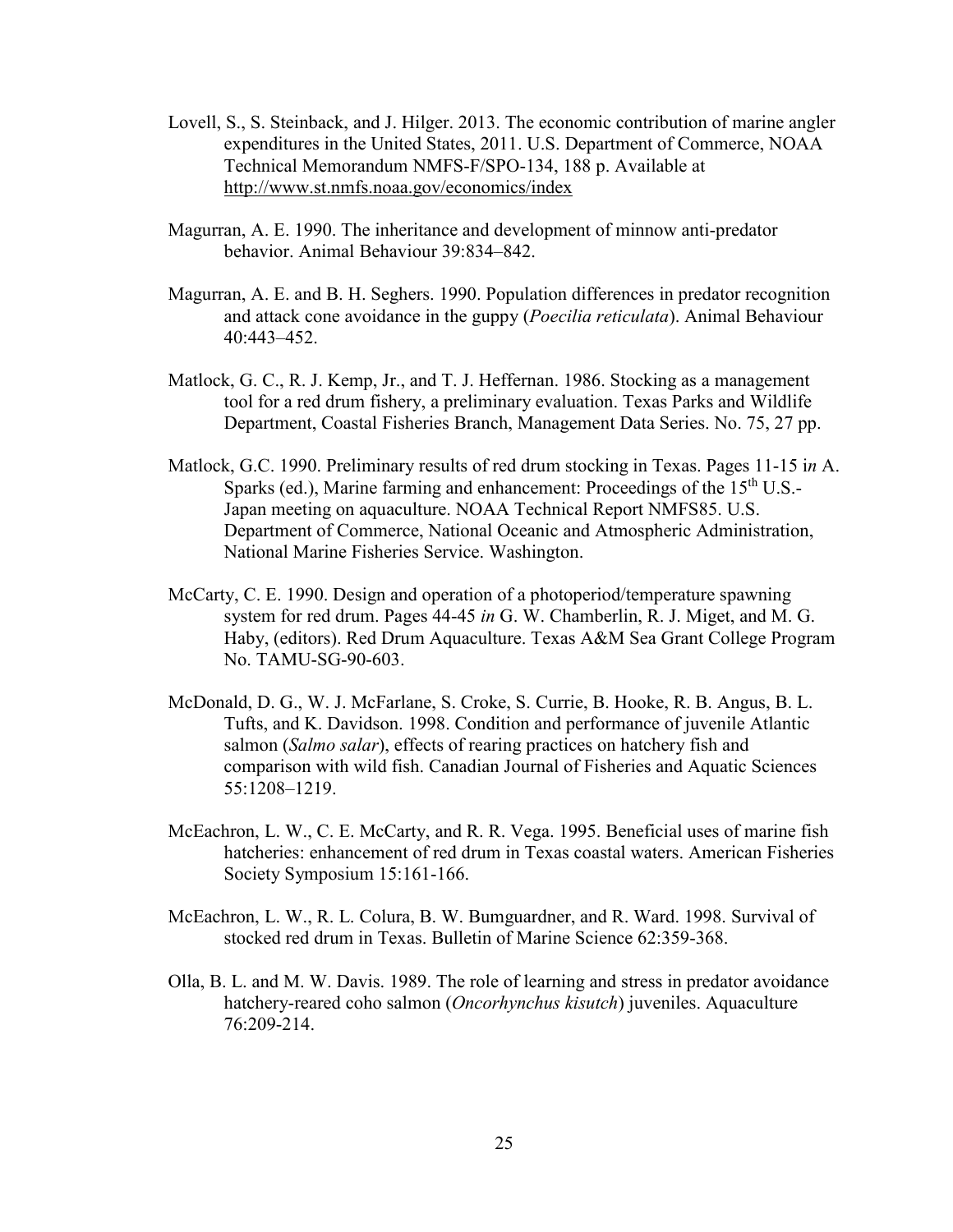- Lovell, S., S. Steinback, and J. Hilger. 2013. The economic contribution of marine angler expenditures in the United States, 2011. U.S. Department of Commerce, NOAA Technical Memorandum NMFS-F/SPO-134, 188 p. Available at http://www.st.nmfs.noaa.gov/economics/index
- Magurran, A. E. 1990. The inheritance and development of minnow anti-predator behavior. Animal Behaviour 39:834–842.
- Magurran, A. E. and B. H. Seghers. 1990. Population differences in predator recognition and attack cone avoidance in the guppy (*Poecilia reticulata*). Animal Behaviour 40:443–452.
- Matlock, G. C., R. J. Kemp, Jr., and T. J. Heffernan. 1986. Stocking as a management tool for a red drum fishery, a preliminary evaluation. Texas Parks and Wildlife Department, Coastal Fisheries Branch, Management Data Series. No. 75, 27 pp.
- Matlock, G.C. 1990. Preliminary results of red drum stocking in Texas. Pages 11-15 i*n* A. Sparks (ed.), Marine farming and enhancement: Proceedings of the 15<sup>th</sup> U.S.-Japan meeting on aquaculture. NOAA Technical Report NMFS85. U.S. Department of Commerce, National Oceanic and Atmospheric Administration, National Marine Fisheries Service. Washington.
- McCarty, C. E. 1990. Design and operation of a photoperiod/temperature spawning system for red drum. Pages 44-45 *in* G. W. Chamberlin, R. J. Miget, and M. G. Haby, (editors). Red Drum Aquaculture. Texas A&M Sea Grant College Program No. TAMU-SG-90-603.
- McDonald, D. G., W. J. McFarlane, S. Croke, S. Currie, B. Hooke, R. B. Angus, B. L. Tufts, and K. Davidson. 1998. Condition and performance of juvenile Atlantic salmon (*Salmo salar*), effects of rearing practices on hatchery fish and comparison with wild fish. Canadian Journal of Fisheries and Aquatic Sciences 55:1208–1219.
- McEachron, L. W., C. E. McCarty, and R. R. Vega. 1995. Beneficial uses of marine fish hatcheries: enhancement of red drum in Texas coastal waters. American Fisheries Society Symposium 15:161-166.
- McEachron, L. W., R. L. Colura, B. W. Bumguardner, and R. Ward. 1998. Survival of stocked red drum in Texas. Bulletin of Marine Science 62:359-368.
- Olla, B. L. and M. W. Davis. 1989. The role of learning and stress in predator avoidance hatchery-reared coho salmon (*Oncorhynchus kisutch*) juveniles. Aquaculture 76:209-214.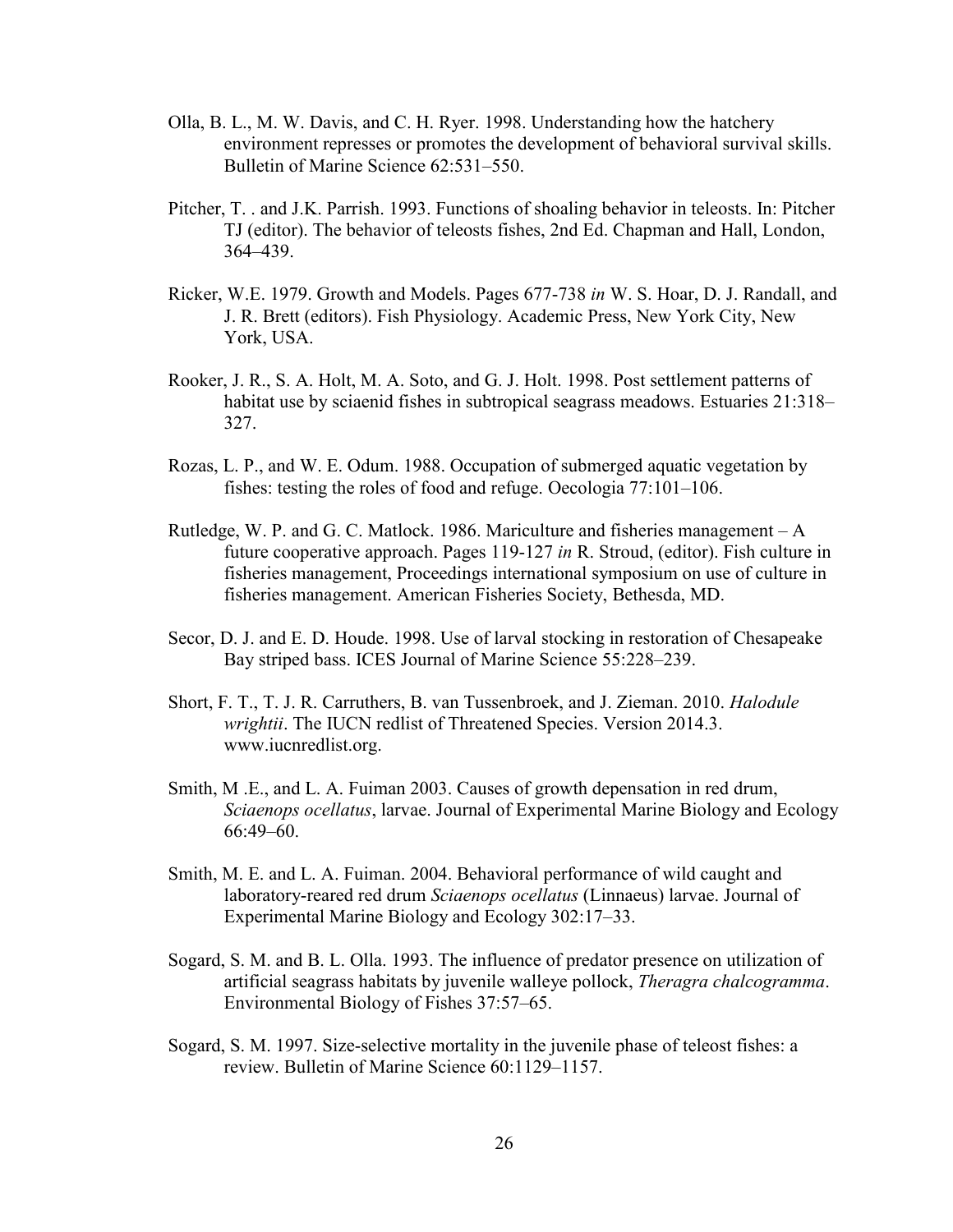- Olla, B. L., M. W. Davis, and C. H. Ryer. 1998. Understanding how the hatchery environment represses or promotes the development of behavioral survival skills. Bulletin of Marine Science 62:531–550.
- Pitcher, T. . and J.K. Parrish. 1993. Functions of shoaling behavior in teleosts. In: Pitcher TJ (editor). The behavior of teleosts fishes, 2nd Ed. Chapman and Hall, London, 364–439.
- Ricker, W.E. 1979. Growth and Models. Pages 677-738 *in* W. S. Hoar, D. J. Randall, and J. R. Brett (editors). Fish Physiology. Academic Press, New York City, New York, USA.
- Rooker, J. R., S. A. Holt, M. A. Soto, and G. J. Holt. 1998. Post settlement patterns of habitat use by sciaenid fishes in subtropical seagrass meadows. Estuaries 21:318– 327.
- Rozas, L. P., and W. E. Odum. 1988. Occupation of submerged aquatic vegetation by fishes: testing the roles of food and refuge. Oecologia 77:101–106.
- Rutledge, W. P. and G. C. Matlock. 1986. Mariculture and fisheries management A future cooperative approach. Pages 119-127 *in* R. Stroud, (editor). Fish culture in fisheries management, Proceedings international symposium on use of culture in fisheries management. American Fisheries Society, Bethesda, MD.
- Secor, D. J. and E. D. Houde. 1998. Use of larval stocking in restoration of Chesapeake Bay striped bass. ICES Journal of Marine Science 55:228–239.
- Short, F. T., T. J. R. Carruthers, B. van Tussenbroek, and J. Zieman. 2010. *Halodule wrightii*. The IUCN redlist of Threatened Species. Version 2014.3. www.iucnredlist.org.
- Smith, M .E., and L. A. Fuiman 2003. Causes of growth depensation in red drum, *Sciaenops ocellatus*, larvae. Journal of Experimental Marine Biology and Ecology 66:49–60.
- Smith, M. E. and L. A. Fuiman. 2004. Behavioral performance of wild caught and laboratory-reared red drum *Sciaenops ocellatus* (Linnaeus) larvae. Journal of Experimental Marine Biology and Ecology 302:17–33.
- Sogard, S. M. and B. L. Olla. 1993. The influence of predator presence on utilization of artificial seagrass habitats by juvenile walleye pollock, *Theragra chalcogramma*. Environmental Biology of Fishes 37:57–65.
- Sogard, S. M. 1997. Size-selective mortality in the juvenile phase of teleost fishes: a review. Bulletin of Marine Science 60:1129–1157.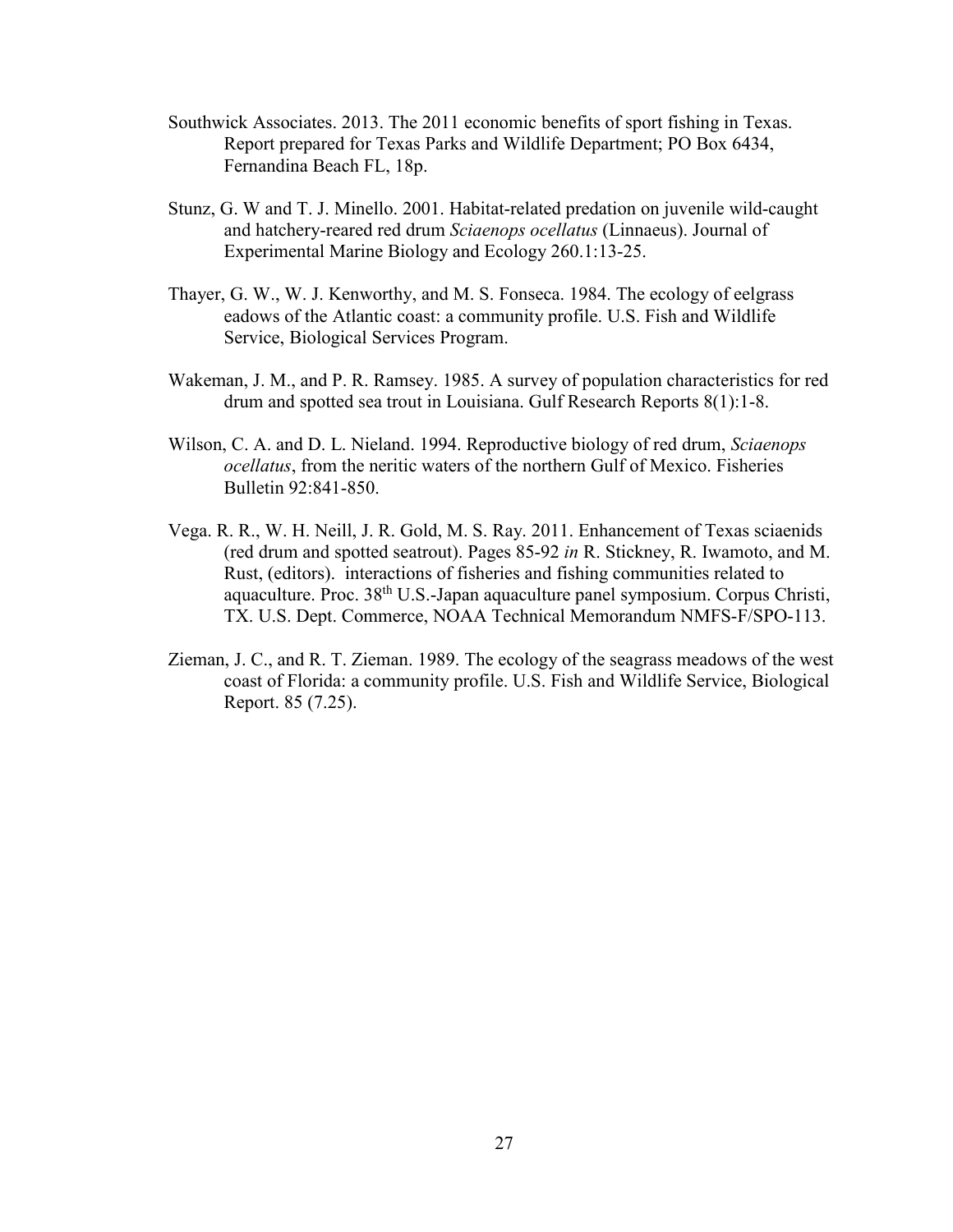- Southwick Associates. 2013. The 2011 economic benefits of sport fishing in Texas. Report prepared for Texas Parks and Wildlife Department; PO Box 6434, Fernandina Beach FL, 18p.
- Stunz, G. W and T. J. Minello. 2001. Habitat-related predation on juvenile wild-caught and hatchery-reared red drum *Sciaenops ocellatus* (Linnaeus). Journal of Experimental Marine Biology and Ecology 260.1:13-25.
- Thayer, G. W., W. J. Kenworthy, and M. S. Fonseca. 1984. The ecology of eelgrass eadows of the Atlantic coast: a community profile. U.S. Fish and Wildlife Service, Biological Services Program.
- Wakeman, J. M., and P. R. Ramsey. 1985. A survey of population characteristics for red drum and spotted sea trout in Louisiana. Gulf Research Reports 8(1):1-8.
- Wilson, C. A. and D. L. Nieland. 1994. Reproductive biology of red drum, *Sciaenops ocellatus*, from the neritic waters of the northern Gulf of Mexico. Fisheries Bulletin 92:841-850.
- Vega. R. R., W. H. Neill, J. R. Gold, M. S. Ray. 2011. Enhancement of Texas sciaenids (red drum and spotted seatrout). Pages 85-92 *in* R. Stickney, R. Iwamoto, and M. Rust, (editors). interactions of fisheries and fishing communities related to aquaculture. Proc. 38th U.S.-Japan aquaculture panel symposium. Corpus Christi, TX. U.S. Dept. Commerce, NOAA Technical Memorandum NMFS-F/SPO-113.
- Zieman, J. C., and R. T. Zieman. 1989. The ecology of the seagrass meadows of the west coast of Florida: a community profile. U.S. Fish and Wildlife Service, Biological Report. 85 (7.25).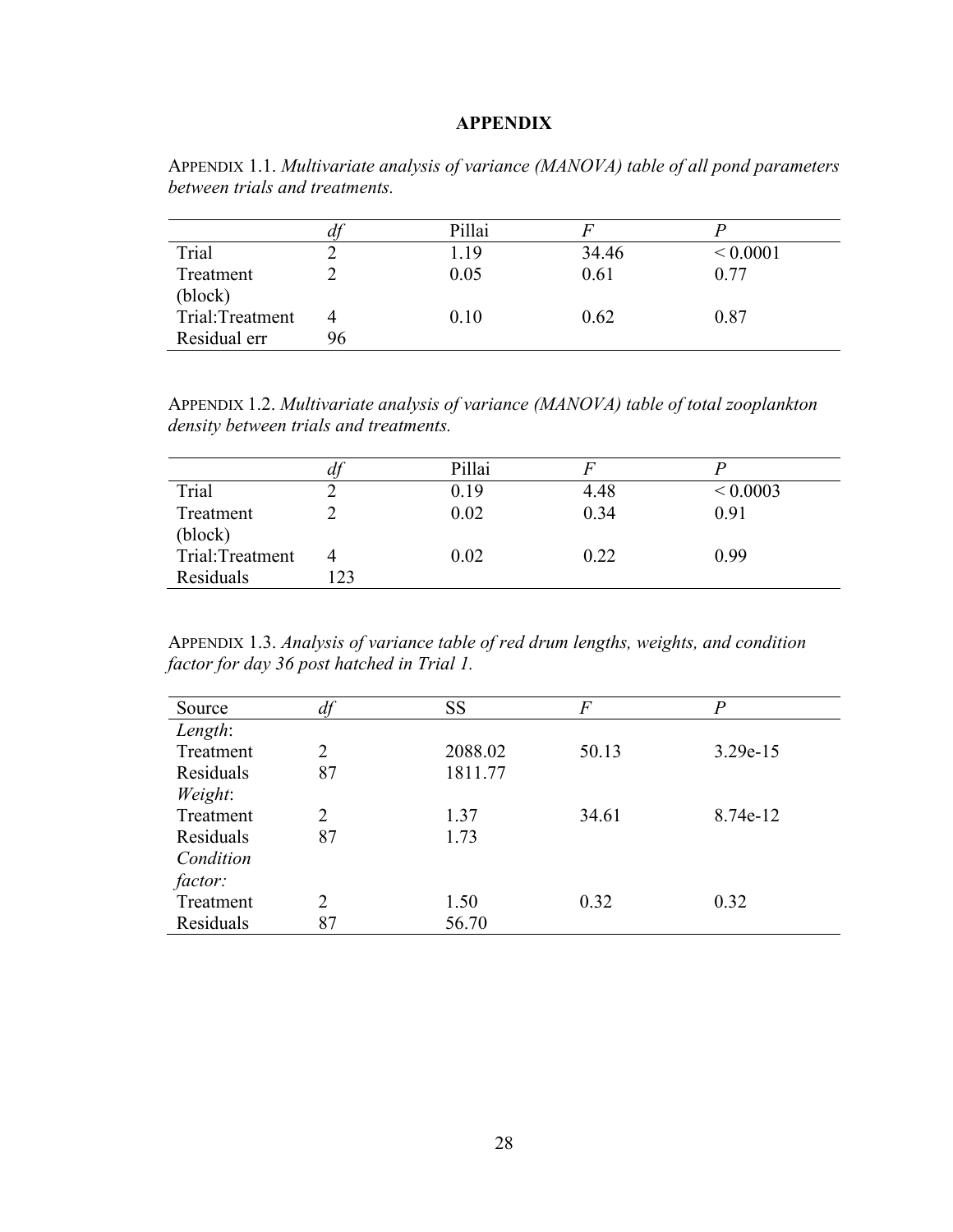## **APPENDIX**

|                 | aj | Pillai |       |              |
|-----------------|----|--------|-------|--------------|
| Trial           |    | 1.19   | 34.46 | ${}< 0.0001$ |
| Treatment       |    | 0.05   | 0.61  | 0.77         |
| (block)         |    |        |       |              |
| Trial:Treatment |    | 0.10   | 0.62  | 0.87         |
| Residual err    | 96 |        |       |              |

APPENDIX 1.1. *Multivariate analysis of variance (MANOVA) table of all pond parameters between trials and treatments.*

APPENDIX 1.2. *Multivariate analysis of variance (MANOVA) table of total zooplankton density between trials and treatments.*

|                 | dj | Pillai |      |              |
|-----------------|----|--------|------|--------------|
| Trial           |    | 0.19   | 4.48 | ${}< 0.0003$ |
| Treatment       |    | 0.02   | 0.34 | 0.91         |
| (block)         |    |        |      |              |
| Trial:Treatment |    | 0.02   | 0.22 | 0.99         |
| Residuals       | 23 |        |      |              |

APPENDIX 1.3. *Analysis of variance table of red drum lengths, weights, and condition factor for day 36 post hatched in Trial 1.* 

| Source    | df | SS      | F     | P          |
|-----------|----|---------|-------|------------|
| Length:   |    |         |       |            |
| Treatment | 2  | 2088.02 | 50.13 | $3.29e-15$ |
| Residuals | 87 | 1811.77 |       |            |
| Weight:   |    |         |       |            |
| Treatment | 2  | 1.37    | 34.61 | 8.74e-12   |
| Residuals | 87 | 1.73    |       |            |
| Condition |    |         |       |            |
| factor:   |    |         |       |            |
| Treatment | 2  | 1.50    | 0.32  | 0.32       |
| Residuals | 87 | 56.70   |       |            |